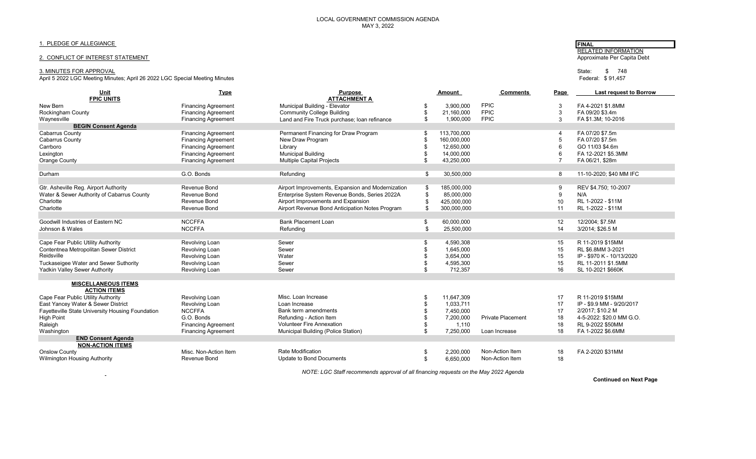# 1. PLEDGE OF ALLEGIANCE **FINAL**

# 2. CONFLICT OF INTEREST STATEMENT

 $\sim$ 

#### 3. MINUTES FOR APPROVAL State: \$ 748

April 5 2022 LGC Meeting Minutes; April 26 2022 LGC Special Meeting Minutes

| Unit                                             | <b>Type</b>                | <b>Purpose</b>                                    | Amount   |             | <b>Comments</b><br>Page    |        | <b>Last request to Borrow</b> |  |
|--------------------------------------------------|----------------------------|---------------------------------------------------|----------|-------------|----------------------------|--------|-------------------------------|--|
| <b>FPIC UNITS</b>                                |                            | <b>ATTACHMENT A</b>                               |          |             |                            |        |                               |  |
| New Bern                                         | <b>Financing Agreement</b> | Municipal Building - Elevator                     | \$       | 3,900,000   | <b>FPIC</b>                | 3      | FA 4-2021 \$1.8MM             |  |
| Rockingham County                                | <b>Financing Agreement</b> | <b>Community College Building</b>                 | \$<br>\$ | 21,160,000  | <b>FPIC</b><br><b>FPIC</b> | 3<br>3 | FA 09/20 \$3.4m               |  |
| Waynesville<br><b>BEGIN Consent Agenda</b>       | <b>Financing Agreement</b> | Land and Fire Truck purchase; loan refinance      |          | 1,900,000   |                            |        | FA \$1.3M; 10-2016            |  |
| <b>Cabarrus County</b>                           | <b>Financing Agreement</b> | Permanent Financing for Draw Program              | \$       | 113,700,000 |                            | 4      | FA 07/20 \$7.5m               |  |
| <b>Cabarrus County</b>                           | <b>Financing Agreement</b> | New Draw Program                                  | \$       | 160,000,000 |                            | 5      | FA 07/20 \$7.5m               |  |
| Carrboro                                         | <b>Financing Agreement</b> | Library                                           |          | 12,650,000  |                            | 6      | GO 11/03 \$4.6m               |  |
| Lexington                                        | <b>Financing Agreement</b> | <b>Municipal Building</b>                         |          | 14,000,000  |                            | 6      | FA 12-2021 \$5.3MM            |  |
| <b>Orange County</b>                             | <b>Financing Agreement</b> | <b>Multiple Capital Projects</b>                  | \$       | 43,250,000  |                            |        | FA 06/21, \$28m               |  |
|                                                  |                            |                                                   |          |             |                            |        |                               |  |
| Durham                                           | G.O. Bonds                 | Refunding                                         | \$       | 30,500,000  |                            | 8      | 11-10-2020; \$40 MM IFC       |  |
|                                                  |                            |                                                   |          |             |                            |        |                               |  |
| Gtr. Asheville Reg. Airport Authority            | Revenue Bond               | Airport Improvements, Expansion and Modernization | \$       | 185,000,000 |                            | 9      | REV \$4.750; 10-2007          |  |
| Water & Sewer Authority of Cabarrus County       | Revenue Bond               | Enterprise System Revenue Bonds, Series 2022A     |          | 85,000,000  |                            | 9      | N/A                           |  |
| Charlotte                                        | Revenue Bond               | Airport Improvements and Expansion                |          | 425,000,000 |                            | 10     | RL 1-2022 - \$11M             |  |
| Charlotte                                        | Revenue Bond               | Airport Revenue Bond Anticipation Notes Program   | \$       | 300,000,000 |                            | 11     | RL 1-2022 - \$11M             |  |
|                                                  |                            |                                                   |          |             |                            |        |                               |  |
| Goodwill Industries of Eastern NC                | <b>NCCFFA</b>              | <b>Bank Placement Loan</b>                        | \$       | 60,000,000  |                            | 12     | 12/2004; \$7.5M               |  |
| Johnson & Wales                                  | <b>NCCFFA</b>              | Refunding                                         | \$       | 25,500,000  |                            | 14     | 3/2014; \$26.5 M              |  |
|                                                  |                            |                                                   |          |             |                            |        |                               |  |
| Cape Fear Public Utility Authority               | Revolving Loan             | Sewer                                             | \$       | 4,590,308   |                            | 15     | R 11-2019 \$15MM              |  |
| Contentnea Metropolitan Sewer District           | Revolving Loan             | Sewer                                             |          | 1.645.000   |                            | 15     | RL \$6.8MM 3-2021             |  |
| Reidsville                                       | Revolving Loan             | Water                                             |          | 3.654.000   |                            | 15     | IP - \$970 K - 10/13/2020     |  |
| Tuckaseigee Water and Sewer Suthority            | Revolving Loan             | Sewer                                             |          | 4,595,300   |                            | 15     | RL 11-2011 \$1.5MM            |  |
| Yadkin Valley Sewer Authority                    | Revolving Loan             | Sewer                                             |          | 712,357     |                            | 16     | SL 10-2021 \$660K             |  |
| <b>MISCELLANEOUS ITEMS</b>                       |                            |                                                   |          |             |                            |        |                               |  |
| <b>ACTION ITEMS</b>                              |                            |                                                   |          |             |                            |        |                               |  |
| Cape Fear Public Utility Authority               | Revolving Loan             | Misc. Loan Increase                               | \$       | 11.647.309  |                            | 17     | R 11-2019 \$15MM              |  |
| East Yancey Water & Sewer District               | Revolving Loan             | Loan Increase                                     |          | 1,033,711   |                            | 17     | IP - \$9.9 MM - 9/20/2017     |  |
| Fayetteville State University Housing Foundation | <b>NCCFFA</b>              | Bank term amendments                              |          | 7,450,000   |                            | 17     | 2/2017; \$10.2 M              |  |
| <b>High Point</b>                                | G.O. Bonds                 | Refunding - Action Item                           |          | 7,200,000   | <b>Private Placement</b>   | 18     | 4-5-2022: \$20.0 MM G.O.      |  |
| Raleigh                                          | <b>Financing Agreement</b> | <b>Volunteer Fire Annexation</b>                  |          | 1,110       |                            | 18     | RL 9-2022 \$50MM              |  |
| Washington                                       | <b>Financing Agreement</b> | Municipal Building (Police Station)               | \$       | 7,250,000   | Loan Increase              | 18     | FA 1-2022 \$6.6MM             |  |
| <b>END Consent Agenda</b>                        |                            |                                                   |          |             |                            |        |                               |  |
| <b>NON-ACTION ITEMS</b>                          |                            |                                                   |          |             |                            |        |                               |  |
| <b>Onslow County</b>                             | Misc. Non-Action Item      | Rate Modification                                 | \$       | 2,200,000   | Non-Action Item            | 18     | FA 2-2020 \$31MM              |  |
| <b>Wilmington Housing Authority</b>              | Revenue Bond               | Update to Bond Documents                          | \$       | 6,650,000   | Non-Action Item            | 18     |                               |  |
|                                                  |                            |                                                   |          |             |                            |        |                               |  |

 *NOTE: LGC Staff recommends approval of all financing requests on the May 2022 Agenda* 

**Continued on Next Page**

**RELATED INFORMATION**<br>Approximate Per Capita Debt

State: \$ 748<br>Federal: \$ 91,457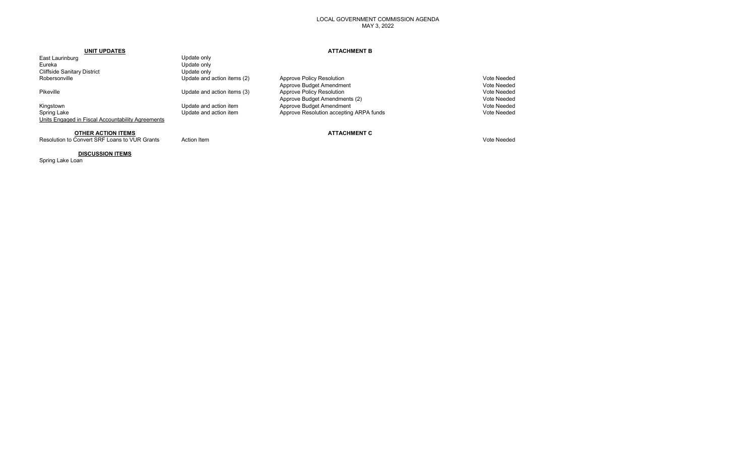## LOCAL GOVERNMENT COMMISSION AGENDA MAY 3, 2022

| UNIT UPDATES                                      |                             | <b>ATTACHMENT B</b>                     |             |
|---------------------------------------------------|-----------------------------|-----------------------------------------|-------------|
| East Laurinburg                                   | Update only                 |                                         |             |
| Eureka                                            | Update only                 |                                         |             |
| <b>Cliffside Sanitary District</b>                | Update only                 |                                         |             |
| Robersonville                                     | Update and action items (2) | Approve Policy Resolution               | Vote Needed |
|                                                   |                             | Approve Budget Amendment                | Vote Needed |
| Pikeville                                         | Update and action items (3) | Approve Policy Resolution               | Vote Needed |
|                                                   |                             | Approve Budget Amendments (2)           | Vote Needed |
| Kingstown                                         | Update and action item      | Approve Budget Amendment                | Vote Needed |
| Spring Lake                                       | Update and action item      | Approve Resolution accepting ARPA funds | Vote Needed |
| Units Engaged in Fiscal Accountability Agreements |                             |                                         |             |
|                                                   |                             |                                         |             |

**OTHER ACTION ITEMS**<br>
Convert SRF Loans to VUR Grants Action Item<br>
Action Item Resolution to Convert SRF Loans to VUR Grants Action Item Action Item Vote Needed Nurse and Security Action Item Vote Needed

# **DISCUSSION ITEMS**

Spring Lake Loan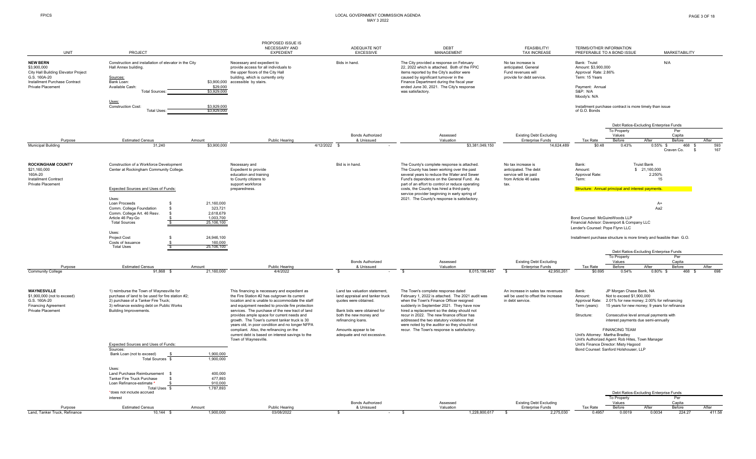#### FPICS LOCAL GOVERNMENT COMMISSION AGENDA MAY 3 2022

|                                                                                                                                             |                                                                                                                                                     |                                      | PROPOSED ISSUE IS                                                                                                                                                                                                                                                                                |                                                                                                                                    |                                                                                                                                                                                                                                                                                              |                                                                                               |                                                                                                                                         |                                                                                                                                    |                                                                                             |              |
|---------------------------------------------------------------------------------------------------------------------------------------------|-----------------------------------------------------------------------------------------------------------------------------------------------------|--------------------------------------|--------------------------------------------------------------------------------------------------------------------------------------------------------------------------------------------------------------------------------------------------------------------------------------------------|------------------------------------------------------------------------------------------------------------------------------------|----------------------------------------------------------------------------------------------------------------------------------------------------------------------------------------------------------------------------------------------------------------------------------------------|-----------------------------------------------------------------------------------------------|-----------------------------------------------------------------------------------------------------------------------------------------|------------------------------------------------------------------------------------------------------------------------------------|---------------------------------------------------------------------------------------------|--------------|
| <b>UNIT</b>                                                                                                                                 | PROJECT                                                                                                                                             |                                      | NECESSARY AND<br><b>EXPEDIENT</b>                                                                                                                                                                                                                                                                | ADEQUATE NOT<br><b>EXCESSIVE</b>                                                                                                   | DEBT<br>MANAGEMENT                                                                                                                                                                                                                                                                           | FEASIBILITY/<br><b>TAX INCREASE</b>                                                           |                                                                                                                                         | TERMS/OTHER INFORMATION<br>PREFERABLE TO A BOND ISSUE                                                                              | <b>MARKETABILITY</b>                                                                        |              |
| <b>NEW BERN</b><br>\$3,900,000<br>City Hall Building Elevator Project<br>G.S. 160A-20<br>Installment Purchase Contract<br>Private Placement | Construction and installation of elevator in the City<br>Hall Annex building.<br>Sources:<br>Bank Loan:<br>Available Cash:<br><b>Total Sources:</b> | \$29,000<br>\$3,929,000              | Necessary and expedient to<br>provide access for all individuals to<br>the upper floors of the City Hall<br>building, which is currently only<br>\$3,900,000 accessible by stairs.                                                                                                               | Bids in hand.                                                                                                                      | The City provided a response on February<br>22, 2022 which is attached. Both of the FPIC<br>items reported by the City's auditor were<br>caused by significant turnover in the<br>Finance Department during the fiscal year<br>ended June 30, 2021. The City's response<br>was satisfactory. | No tax increase is<br>anticipated. General<br>Fund revenues will<br>provide for debt service. | Bank: Truist<br>Amount: \$3,900,000<br>Approval Rate: 2.86%<br>Term: 15 Years<br>Payment: Annual<br><b>S&amp;P: N/A</b><br>Moody's: N/A |                                                                                                                                    | N/A                                                                                         |              |
|                                                                                                                                             | Uses:<br><b>Construction Cost:</b><br><b>Total Uses:</b>                                                                                            | \$3,929,000<br>\$3,929,000           |                                                                                                                                                                                                                                                                                                  |                                                                                                                                    |                                                                                                                                                                                                                                                                                              |                                                                                               | of G.O. Bonds                                                                                                                           | Installment purchase contract is more timely than issue                                                                            |                                                                                             |              |
|                                                                                                                                             |                                                                                                                                                     |                                      |                                                                                                                                                                                                                                                                                                  |                                                                                                                                    |                                                                                                                                                                                                                                                                                              |                                                                                               |                                                                                                                                         |                                                                                                                                    | Debt Ratios-Excluding Enterprise Funds                                                      |              |
|                                                                                                                                             |                                                                                                                                                     |                                      |                                                                                                                                                                                                                                                                                                  | <b>Bonds Authorized</b>                                                                                                            | Assessed                                                                                                                                                                                                                                                                                     | <b>Existing Debt Excluding</b>                                                                |                                                                                                                                         | To Property<br>Values                                                                                                              | Per<br>Capita                                                                               |              |
| Purpose                                                                                                                                     | <b>Estimated Census</b><br>Amount                                                                                                                   |                                      | Public Hearing                                                                                                                                                                                                                                                                                   | & Unissued                                                                                                                         | Valuation                                                                                                                                                                                                                                                                                    | <b>Enterprise Funds</b>                                                                       | Tax Rate                                                                                                                                | Before                                                                                                                             | After<br>Before                                                                             | After        |
| <b>Municipal Building</b>                                                                                                                   | 31.240                                                                                                                                              | \$3,900,000                          |                                                                                                                                                                                                                                                                                                  | 4/12/2022 \$                                                                                                                       | \$3,381,049,150                                                                                                                                                                                                                                                                              | 14.624.489                                                                                    | \$0.48                                                                                                                                  | 0.43%                                                                                                                              | 0.55%<br>468<br>Craven Co.<br><b>S</b>                                                      | 593<br>167   |
| <b>ROCKINGHAM COUNTY</b><br>\$21,160,000<br>160A-20<br><b>Installment Contract</b>                                                          | Construction of a Workforce Development<br>Center at Rockingham Community College.                                                                  |                                      | Necessary and<br>Expedient to provide<br>education and training<br>to County citizens to                                                                                                                                                                                                         | Bid is in hand.                                                                                                                    | The County's complete response is attached.<br>The County has been working over the past<br>several years to reduce the Water and Sewer<br>Fund's dependence on the General Fund. As                                                                                                         | No tax increase is<br>anticipated. The debt<br>service will be paid<br>from Article 46 sales  | Bank:<br>Amount:<br>Approval Rate:<br>Term:                                                                                             |                                                                                                                                    | <b>Truist Bank</b><br>\$ 21,160,000<br>2.250%<br>15                                         |              |
| Private Placement                                                                                                                           | Expected Sources and Uses of Funds:<br>Uses:                                                                                                        |                                      | support workforce<br>preparedness.                                                                                                                                                                                                                                                               |                                                                                                                                    | part of an effort to control or reduce operating<br>costs, the County has hired a third-party<br>service provider beginning in early spring of<br>2021. The County's response is satisfactory.                                                                                               | tax                                                                                           |                                                                                                                                         | Structure: Annual principal and interest payments.                                                                                 |                                                                                             |              |
|                                                                                                                                             | Loan Proceeds<br>Comm. College Foundation                                                                                                           | 21,160,000<br>323,721                |                                                                                                                                                                                                                                                                                                  |                                                                                                                                    |                                                                                                                                                                                                                                                                                              |                                                                                               |                                                                                                                                         |                                                                                                                                    | $A+$<br>Aa2                                                                                 |              |
|                                                                                                                                             | Comm. College Art. 46 Resv.<br>-S<br>Article 46 Pay-Go<br><b>Total Sources</b>                                                                      | 2,618,679<br>1,003,700<br>25,106,100 |                                                                                                                                                                                                                                                                                                  |                                                                                                                                    |                                                                                                                                                                                                                                                                                              |                                                                                               | Bond Counsel: McGuireWoods LLP<br>Lender's Counsel: Pope Flynn LLC                                                                      | Financial Advisor: Davenport & Company LLC                                                                                         |                                                                                             |              |
|                                                                                                                                             | Uses:<br><b>Project Cost</b><br>Costs of Issuance<br><b>Total Uses</b>                                                                              | 24,946,100<br>160,000<br>25.106.100  |                                                                                                                                                                                                                                                                                                  |                                                                                                                                    |                                                                                                                                                                                                                                                                                              |                                                                                               |                                                                                                                                         |                                                                                                                                    | Installment purchase structure is more timely and feasible than G.O.                        |              |
|                                                                                                                                             |                                                                                                                                                     |                                      |                                                                                                                                                                                                                                                                                                  |                                                                                                                                    |                                                                                                                                                                                                                                                                                              |                                                                                               |                                                                                                                                         | To Property                                                                                                                        | Debt Ratios-Excluding Enterprise Funds<br>Per                                               |              |
|                                                                                                                                             |                                                                                                                                                     |                                      |                                                                                                                                                                                                                                                                                                  | <b>Bonds Authorized</b>                                                                                                            | Assessed                                                                                                                                                                                                                                                                                     | <b>Existing Debt Excluding</b>                                                                |                                                                                                                                         | Values                                                                                                                             | Capita                                                                                      |              |
| Purpose<br><b>Community College</b>                                                                                                         | <b>Estimated Census</b><br>Amount<br>91,868 \$                                                                                                      | 21,160,000                           | Public Hearing<br>4/4/2022                                                                                                                                                                                                                                                                       | & Unissued<br><b>S</b>                                                                                                             | Valuation<br><b>S</b><br>8,015,198,443                                                                                                                                                                                                                                                       | <b>Enterprise Funds</b><br>$\mathbf s$<br>42,950,261                                          | Tax Rate<br>\$0.695                                                                                                                     | Before<br>0.54%                                                                                                                    | After<br>Before<br>$0.80\%$ \$<br>468 \$                                                    | After<br>698 |
| <b>WAYNESVILLE</b>                                                                                                                          | 1) reimburse the Town of Waynesville for                                                                                                            |                                      | This financing is necessary and expedient as                                                                                                                                                                                                                                                     | Land tax valuation statement,                                                                                                      | The Town's complete response dated                                                                                                                                                                                                                                                           | An increase in sales tax revenues                                                             | Bank:                                                                                                                                   | JP Morgan Chase Bank, NA                                                                                                           |                                                                                             |              |
| \$1,900,000 (not to exceed)<br>G.S. 160A-20<br><b>Financing Agreement</b>                                                                   | purchase of land to be used for fire station #2;<br>2) purchase of a Tanker Fire Truck;<br>3) refinance existing debt on Public Works               |                                      | the Fire Station #2 has outgrown its current<br>location and is unable to accommodate the staff<br>and equipment needed to provide fire protection                                                                                                                                               | land appraisal and tanker truck<br>quotes were obtained.                                                                           | February 1, 2022 is attached. The 2021 audit was<br>when the Town's Finance Officer resigned<br>suddenly in September 2021. They have now                                                                                                                                                    | will be used to offset the increase<br>in debt service.                                       | Amount:<br>Approval Rate:<br>Term (years):                                                                                              | Not to exceed \$1,900,000                                                                                                          | 2.01% for new money; 2.00% for refinancing<br>15 years for new money; 9 years for refinance |              |
| Private Placement                                                                                                                           | Building Improvements.                                                                                                                              |                                      | services. The purchase of the new tract of land<br>provides ample space for current needs and<br>growth. The Town's current tanker truck is 30<br>years old, in poor condition and no longer NFPA<br>compliant. Also, the refinancing on the<br>current debt is based on interest savings to the | Bank bids were obtained for<br>both the new money and<br>refinancing loans.<br>Amounts appear to be<br>adequate and not excessive. | hired a replacement so the delay should not<br>recur in 2022. The new finance officer has<br>addressed the two statutory violations that<br>were noted by the auditor so they should not<br>recur. The Town's response is satisfactory.                                                      |                                                                                               | Structure:<br>Unit's Attorney: Martha Bradley                                                                                           | Consecutive level annual payments with<br>interest payments due semi-annually<br><b>FINANCING TEAM</b>                             |                                                                                             |              |
|                                                                                                                                             | Expected Sources and Uses of Funds:<br>Sources:                                                                                                     |                                      | Town of Waynesville.                                                                                                                                                                                                                                                                             |                                                                                                                                    |                                                                                                                                                                                                                                                                                              |                                                                                               |                                                                                                                                         | Unit's Authorized Agent: Rob Hites, Town Manager<br>Unit's Finance Director: Misty Hagood<br>Bond Counsel: Sanford Holshouser, LLP |                                                                                             |              |
|                                                                                                                                             | Bank Loan (not to exceed)<br>Total Sources \$                                                                                                       | 1.900.000<br>1,900,000               |                                                                                                                                                                                                                                                                                                  |                                                                                                                                    |                                                                                                                                                                                                                                                                                              |                                                                                               |                                                                                                                                         |                                                                                                                                    |                                                                                             |              |
|                                                                                                                                             | Uses:<br>Land Purchase Reimbursement<br>Tanker Fire Truck Purchase<br>Loan Refinance-estimate                                                       | 400,000<br>477.893<br>910.000        |                                                                                                                                                                                                                                                                                                  |                                                                                                                                    |                                                                                                                                                                                                                                                                                              |                                                                                               |                                                                                                                                         |                                                                                                                                    |                                                                                             |              |
|                                                                                                                                             | Total Uses \$<br>*does not include accrued                                                                                                          | 1,787,893                            |                                                                                                                                                                                                                                                                                                  |                                                                                                                                    |                                                                                                                                                                                                                                                                                              |                                                                                               |                                                                                                                                         |                                                                                                                                    |                                                                                             |              |
|                                                                                                                                             | interest                                                                                                                                            |                                      |                                                                                                                                                                                                                                                                                                  |                                                                                                                                    |                                                                                                                                                                                                                                                                                              |                                                                                               |                                                                                                                                         | To Property                                                                                                                        | Debt Ratios-Excluding Enterprise Funds<br>Per                                               |              |
| Purpose                                                                                                                                     | <b>Estimated Census</b><br>Amount                                                                                                                   |                                      | Public Hearing                                                                                                                                                                                                                                                                                   | <b>Bonds Authorized</b><br>& Unissued                                                                                              | Assessed<br>Valuation                                                                                                                                                                                                                                                                        | <b>Existing Debt Excluding</b><br><b>Enterprise Funds</b>                                     | Tax Rate                                                                                                                                | Values<br>Before                                                                                                                   | Capita<br>After<br>Before                                                                   | After        |
| Land, Tanker Truck, Refinance                                                                                                               | 10.144 \$                                                                                                                                           | 1,900,000                            | 03/08/2022                                                                                                                                                                                                                                                                                       | S.                                                                                                                                 | 1,228,800,617<br><b>S</b>                                                                                                                                                                                                                                                                    | 2,275,030<br>$\mathbf{s}$                                                                     | 0.4957                                                                                                                                  | 0.0019                                                                                                                             | 0.0034<br>224.27                                                                            | 411.58       |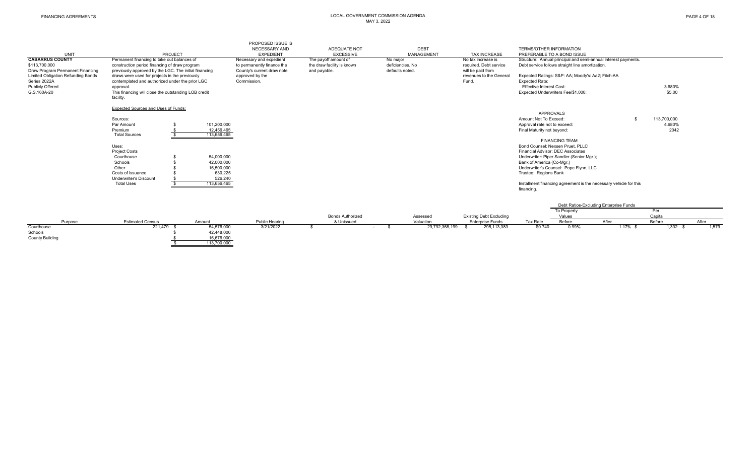| UNIT                                                                        |                                                                                                                                                       | PROJECT    |                           | PROPOSED ISSUE IS<br>NECESSARY AND<br><b>EXPEDIENT</b>                              |                                                                    | ADEQUATE NOT<br><b>EXCESSIVE</b>      |                                                 | <b>DEBT</b><br>MANAGEMENT | <b>TAX INCREASE</b>                                               | <b>TERMS/OTHER INFORMATION</b><br>PREFERABLE TO A BOND ISSUE                                                       |                                                   |                                                                   |                  |       |
|-----------------------------------------------------------------------------|-------------------------------------------------------------------------------------------------------------------------------------------------------|------------|---------------------------|-------------------------------------------------------------------------------------|--------------------------------------------------------------------|---------------------------------------|-------------------------------------------------|---------------------------|-------------------------------------------------------------------|--------------------------------------------------------------------------------------------------------------------|---------------------------------------------------|-------------------------------------------------------------------|------------------|-------|
| <b>CABARRUS COUNTY</b><br>\$113,700,000<br>Draw Program Permanent Financing | Permanent financing to take out balances of<br>construction period financing of draw program<br>previously approved by the LGC. The initial financing |            |                           | Necessary and expedient<br>to permanently finance the<br>County's current draw note | The payoff amount of<br>the draw facility is known<br>and payable. |                                       | No major<br>deficiencies. No<br>defaults noted. |                           | No tax increase is<br>required. Debt service<br>will be paid from | Structure: Annual principal and semi-annual interest payments.<br>Debt service follows straight line amortization. |                                                   |                                                                   |                  |       |
| <b>Limited Obligation Refunding Bonds</b><br>Series 2022A                   | draws were used for projects in the previously<br>contemplated and authorized under the prior LGC                                                     |            |                           | approved by the<br>Commission.                                                      |                                                                    |                                       |                                                 |                           | revenues to the General<br>Fund.                                  | <b>Expected Rate:</b>                                                                                              | Expected Ratings: S&P: AA; Moody's: Aa2; Fitch:AA |                                                                   |                  |       |
| <b>Publicly Offered</b><br>G.S.160A-20                                      | approval.<br>This financing will close the outstanding LOB credit                                                                                     |            |                           |                                                                                     |                                                                    |                                       |                                                 |                           |                                                                   | <b>Effective Interest Cost:</b><br>Expected Underwriters Fee/\$1,000:                                              |                                                   |                                                                   | 3.680%<br>\$5.00 |       |
|                                                                             | facility.                                                                                                                                             |            |                           |                                                                                     |                                                                    |                                       |                                                 |                           |                                                                   |                                                                                                                    |                                                   |                                                                   |                  |       |
|                                                                             | Expected Sources and Uses of Funds:                                                                                                                   |            |                           |                                                                                     |                                                                    |                                       |                                                 |                           |                                                                   |                                                                                                                    |                                                   |                                                                   |                  |       |
|                                                                             | Sources:                                                                                                                                              |            |                           |                                                                                     |                                                                    |                                       |                                                 |                           |                                                                   | APPROVALS<br>Amount Not To Exceed:                                                                                 |                                                   |                                                                   | 113,700,000      |       |
|                                                                             | Par Amount                                                                                                                                            |            | 101,200,000               |                                                                                     |                                                                    |                                       |                                                 |                           |                                                                   | Approval rate not to exceed:                                                                                       |                                                   |                                                                   | 4.680%           |       |
|                                                                             | Premium<br><b>Total Sources</b>                                                                                                                       |            | 12.456.465<br>113,656,465 |                                                                                     |                                                                    |                                       |                                                 |                           |                                                                   | Final Maturity not beyond:                                                                                         |                                                   |                                                                   | 2042             |       |
|                                                                             |                                                                                                                                                       |            |                           |                                                                                     |                                                                    |                                       |                                                 |                           |                                                                   |                                                                                                                    | <b>FINANCING TEAM</b>                             |                                                                   |                  |       |
|                                                                             | Uses:<br><b>Project Costs</b>                                                                                                                         |            |                           |                                                                                     |                                                                    |                                       |                                                 |                           |                                                                   | Bond Counsel: Nexsen Pruet, PLLC<br>Financial Advisor: DEC Associates                                              |                                                   |                                                                   |                  |       |
|                                                                             | Courthouse                                                                                                                                            |            | 54,000,000                |                                                                                     |                                                                    |                                       |                                                 |                           |                                                                   |                                                                                                                    | Underwriter: Piper Sandler (Senior Mgr.);         |                                                                   |                  |       |
|                                                                             | Schools                                                                                                                                               |            | 42.000.000                |                                                                                     |                                                                    |                                       |                                                 |                           |                                                                   | Bank of America (Co-Mgr.)                                                                                          |                                                   |                                                                   |                  |       |
|                                                                             | Other<br>Costs of Issuance                                                                                                                            |            | 16,500,000<br>630,225     |                                                                                     |                                                                    |                                       |                                                 |                           |                                                                   | Trustee: Regions Bank                                                                                              | Underwriter's Counsel: Pope Flynn, LLC            |                                                                   |                  |       |
|                                                                             | <b>Underwriter's Discount</b>                                                                                                                         |            | 526,240                   |                                                                                     |                                                                    |                                       |                                                 |                           |                                                                   |                                                                                                                    |                                                   |                                                                   |                  |       |
|                                                                             | <b>Total Uses</b>                                                                                                                                     |            | 113,656,465               |                                                                                     |                                                                    |                                       |                                                 |                           |                                                                   | financing.                                                                                                         |                                                   | Installment financing agreement is the necessary vehicle for this |                  |       |
|                                                                             |                                                                                                                                                       |            |                           |                                                                                     |                                                                    |                                       |                                                 |                           |                                                                   |                                                                                                                    |                                                   |                                                                   |                  |       |
|                                                                             |                                                                                                                                                       |            |                           |                                                                                     |                                                                    |                                       |                                                 |                           |                                                                   |                                                                                                                    |                                                   | Debt Ratios-Excluding Enterprise Funds                            |                  |       |
|                                                                             |                                                                                                                                                       |            |                           |                                                                                     |                                                                    |                                       |                                                 |                           |                                                                   |                                                                                                                    | To Property                                       |                                                                   | Per              |       |
| Purpose                                                                     | <b>Estimated Census</b>                                                                                                                               |            | Amount                    | Public Hearing                                                                      |                                                                    | <b>Bonds Authorized</b><br>& Unissued |                                                 | Assessed<br>Valuation     | <b>Existing Debt Excluding</b><br><b>Enterprise Funds</b>         | Tax Rate                                                                                                           | Values<br>Before                                  | After                                                             | Capita<br>Before | After |
| Courthouse                                                                  |                                                                                                                                                       | 221,479 \$ | 54,576,000                | 3/21/2022                                                                           | -S                                                                 |                                       | - \$<br>$\sim$                                  | 29,792,368,199            | 295,113,383<br>- \$                                               | \$0.740                                                                                                            | 0.99%                                             | $1.17\%$ \$                                                       | $1,332$ \$       | 1,579 |
| Schools                                                                     |                                                                                                                                                       |            | 42,448,000                |                                                                                     |                                                                    |                                       |                                                 |                           |                                                                   |                                                                                                                    |                                                   |                                                                   |                  |       |
| <b>County Building</b>                                                      |                                                                                                                                                       |            | 16,676,000<br>113,700,000 |                                                                                     |                                                                    |                                       |                                                 |                           |                                                                   |                                                                                                                    |                                                   |                                                                   |                  |       |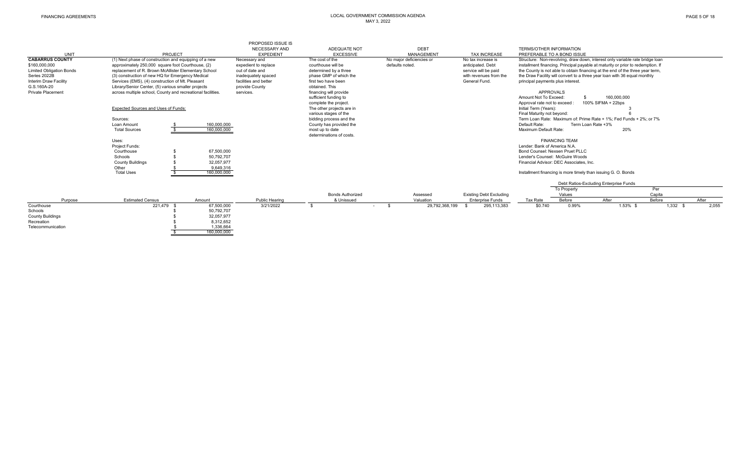|                                 |                                                             |             | <b>PROPOSED ISSUE IS</b> |                           |                          |                                |                                                                               |                                                                                 |                        |       |
|---------------------------------|-------------------------------------------------------------|-------------|--------------------------|---------------------------|--------------------------|--------------------------------|-------------------------------------------------------------------------------|---------------------------------------------------------------------------------|------------------------|-------|
|                                 |                                                             |             | NECESSARY AND            | ADEQUATE NOT              | DEBT                     |                                | <b>TERMS/OTHER INFORMATION</b>                                                |                                                                                 |                        |       |
| <b>UNIT</b>                     | PROJECT                                                     |             | <b>EXPEDIENT</b>         | <b>EXCESSIVE</b>          | MANAGEMENT               | <b>TAX INCREASE</b>            | PREFERABLE TO A BOND ISSUE                                                    |                                                                                 |                        |       |
| <b>CABARRUS COUNTY</b>          | (1) Next phase of construction and equipping of a new       |             | Necessary and            | The cost of the           | No major deficiencies or | No tax increase is             | Structure: Non-revolving, draw down, interest only variable rate bridge loan  |                                                                                 |                        |       |
| \$160,000,000                   | approximately 250,000 square foot Courthouse, (2)           |             | expedient to replace     | courthouse will be        | defaults noted.          | anticipated, Debt              |                                                                               | installment financing. Principal payable at maturity or prior to redemption. If |                        |       |
| <b>Limited Obligation Bonds</b> | replacement of R. Brown McAllister Elementary School        |             | out of date and          | determined by a three     |                          | service will be paid           | the County is not able to obtain financing at the end of the three year term, |                                                                                 |                        |       |
| Series 2022B                    | (3) construction of new HQ for Emergency Medical            |             | inadeguately spaced      | phase GMP of which the    |                          | with revenues from the         |                                                                               | the Draw Facility will convert to a three year loan with 36 equal monthly       |                        |       |
| Interim Draw Facility           | Services (EMS), (4) construction of Mt. Pleasant            |             | facilities and better    | first two have been       |                          | General Fund.                  | principal payments plus interest.                                             |                                                                                 |                        |       |
| G.S.160A-20                     | Library/Senior Center, (5) various smaller projects         |             | provide County           | obtained. This            |                          |                                |                                                                               |                                                                                 |                        |       |
| Private Placement               | across multiple school. County and recreational facilities. |             | services.                | financing will provide    |                          |                                | APPROVALS                                                                     |                                                                                 |                        |       |
|                                 |                                                             |             |                          | sufficient funding to     |                          |                                | Amount Not To Exceed                                                          | 160.000.000                                                                     |                        |       |
|                                 |                                                             |             |                          | complete the project.     |                          |                                | Approval rate not to exceed                                                   | 100% SIFMA + 22bps                                                              |                        |       |
|                                 | Expected Sources and Uses of Funds:                         |             |                          | The other projects are in |                          |                                | Initial Term (Years):                                                         |                                                                                 |                        |       |
|                                 |                                                             |             |                          | various stages of the     |                          |                                | Final Maturity not beyond:                                                    |                                                                                 |                        |       |
|                                 | Sources:                                                    |             |                          | bidding process and the   |                          |                                |                                                                               | Term Loan Rate: Maximum of: Prime Rate + 1%; Fed Funds + 2%; or 7%              |                        |       |
|                                 | Loan Amount                                                 | 160,000,000 |                          | County has provided the   |                          |                                | Default Rate:                                                                 | Term Loan Rate +3%                                                              |                        |       |
|                                 | <b>Total Sources</b>                                        | 160.000.000 |                          | most up to date           |                          |                                | Maximum Default Rate:                                                         |                                                                                 | 20%                    |       |
|                                 |                                                             |             |                          | determinations of costs.  |                          |                                |                                                                               |                                                                                 |                        |       |
|                                 | Uses:                                                       |             |                          |                           |                          |                                | <b>FINANCING TEAM</b>                                                         |                                                                                 |                        |       |
|                                 | Project Funds:                                              |             |                          |                           |                          |                                | Lender: Bank of America N.A.                                                  |                                                                                 |                        |       |
|                                 | Courthouse                                                  | 67,500,000  |                          |                           |                          |                                | Bond Counsel: Nexsen Pruet PLLC                                               |                                                                                 |                        |       |
|                                 | Schools                                                     | 50,792,707  |                          |                           |                          |                                | Lender's Counsel: McGuire Woods                                               |                                                                                 |                        |       |
|                                 | <b>County Buildings</b>                                     | 32.057.977  |                          |                           |                          |                                | Financial Advisor: DEC Associates, Inc.                                       |                                                                                 |                        |       |
|                                 | Other                                                       | 9,649,316   |                          |                           |                          |                                |                                                                               |                                                                                 |                        |       |
|                                 | <b>Total Uses</b>                                           | 160,000,000 |                          |                           |                          |                                |                                                                               | Installment financing is more timely than issuing G. O. Bonds                   |                        |       |
|                                 |                                                             |             |                          |                           |                          |                                |                                                                               | Debt Ratios-Excluding Enterprise Funds                                          |                        |       |
|                                 |                                                             |             |                          |                           |                          |                                | To Property                                                                   |                                                                                 | Per                    |       |
|                                 |                                                             |             |                          | <b>Bonds Authorized</b>   | Assessed                 | <b>Existing Debt Excluding</b> | Values                                                                        |                                                                                 | Capita                 |       |
| Purpose                         | <b>Estimated Census</b>                                     | Amount      | Public Hearing           | & Unissued                | Valuation                | <b>Enterprise Funds</b>        | Before<br>Tax Rate                                                            | After                                                                           | Before                 | After |
| Courthouse                      | 221,479                                                     | 67,500,000  | 3/21/2022                |                           | 29,792,368,199<br>$\sim$ | 295, 113, 383                  | \$0.740                                                                       | 0.99%                                                                           | 1.53% \$<br>$1,332$ \$ | 2,055 |
| Schools                         |                                                             | 50,792,707  |                          |                           |                          |                                |                                                                               |                                                                                 |                        |       |
| <b>County Buildings</b>         |                                                             | 32,057,977  |                          |                           |                          |                                |                                                                               |                                                                                 |                        |       |
| Recreation                      |                                                             | 8,312,652   |                          |                           |                          |                                |                                                                               |                                                                                 |                        |       |
| Telecommunication               |                                                             | 1,336,664   |                          |                           |                          |                                |                                                                               |                                                                                 |                        |       |
|                                 |                                                             | 160,000,000 |                          |                           |                          |                                |                                                                               |                                                                                 |                        |       |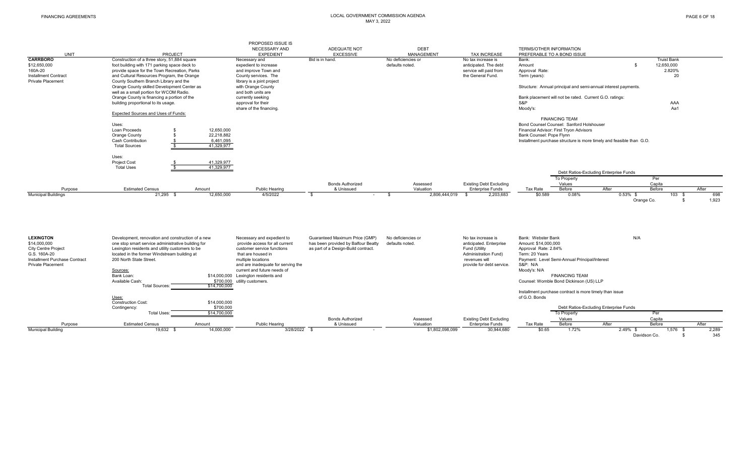|                                                    |                                                                                              |                          | PROPOSED ISSUE IS<br>NECESSARY AND                                | ADEQUATE NOT                        | <b>DEBT</b>                           |                                                 | <b>TERMS/OTHER INFORMATION</b>                                       |                                        |                                             |
|----------------------------------------------------|----------------------------------------------------------------------------------------------|--------------------------|-------------------------------------------------------------------|-------------------------------------|---------------------------------------|-------------------------------------------------|----------------------------------------------------------------------|----------------------------------------|---------------------------------------------|
| <b>UNIT</b>                                        | PROJECT                                                                                      |                          | <b>EXPEDIENT</b>                                                  | <b>EXCESSIVE</b>                    | MANAGEMENT                            | <b>TAX INCREASE</b>                             | PREFERABLE TO A BOND ISSUE                                           |                                        |                                             |
| <b>CARRBORO</b>                                    | Construction of a three story, 51,884 square                                                 |                          | Necessary and                                                     | Bid is in hand.                     | No deficiencies or<br>defaults noted. | No tax increase is                              | Bank:                                                                | \$                                     | <b>Truist Bank</b><br>12,650,000            |
| \$12,650,000<br>160A-20                            | foot building with 171 parking space deck to<br>provide space for the Town Recreation, Parks |                          | expedient to increase<br>and improve Town and                     |                                     |                                       | anticipated. The debt<br>service will paid from | Amount<br>Approval Rate:                                             |                                        | 2.820%                                      |
| Installment Contract                               | and Cultural Resources Program, the Orange                                                   |                          | County services. The                                              |                                     |                                       | the General Fund.                               | Term (years):                                                        |                                        | 20                                          |
| <b>Private Placement</b>                           | County Southern Branch Library and the                                                       |                          | library is a joint project                                        |                                     |                                       |                                                 |                                                                      |                                        |                                             |
|                                                    | Orange County skilled Development Center as<br>well as a small portion for WCOM Radio.       |                          | with Orange County<br>and both units are                          |                                     |                                       |                                                 | Structure: Annual principal and semi-annual interest payments.       |                                        |                                             |
|                                                    | Orange County is financing a portion of the                                                  |                          | currently seeking                                                 |                                     |                                       |                                                 | Bank placement will not be rated. Current G.O. ratings:              |                                        |                                             |
|                                                    | building proportional to its usage.                                                          |                          | approval for their                                                |                                     |                                       |                                                 | S&P                                                                  |                                        | AAA                                         |
|                                                    |                                                                                              |                          | share of the financing.                                           |                                     |                                       |                                                 | Moody's:                                                             |                                        | Aa1                                         |
|                                                    | Expected Sources and Uses of Funds:                                                          |                          |                                                                   |                                     |                                       |                                                 |                                                                      |                                        |                                             |
|                                                    |                                                                                              |                          |                                                                   |                                     |                                       |                                                 | <b>FINANCING TEAM</b>                                                |                                        |                                             |
|                                                    | Uses:<br>Loan Proceeds                                                                       |                          |                                                                   |                                     |                                       |                                                 | Bond Counsel Counsel: Sanford Holshouser                             |                                        |                                             |
|                                                    | S<br>Orange County<br>\$                                                                     | 12,650,000<br>22.218.882 |                                                                   |                                     |                                       |                                                 | Financial Advisor: First Tryon Advisors<br>Bank Counsel: Pope Flynn  |                                        |                                             |
|                                                    | Cash Contribution                                                                            | 6,461,095                |                                                                   |                                     |                                       |                                                 | Installment purchase structure is more timely and feasible than G.O. |                                        |                                             |
|                                                    | <b>Total Sources</b>                                                                         | 41,329,977               |                                                                   |                                     |                                       |                                                 |                                                                      |                                        |                                             |
|                                                    |                                                                                              |                          |                                                                   |                                     |                                       |                                                 |                                                                      |                                        |                                             |
|                                                    | Uses:                                                                                        |                          |                                                                   |                                     |                                       |                                                 |                                                                      |                                        |                                             |
|                                                    | <b>Project Cost</b><br><b>Total Uses</b>                                                     | 41.329.977<br>41.329.977 |                                                                   |                                     |                                       |                                                 |                                                                      |                                        |                                             |
|                                                    |                                                                                              |                          |                                                                   |                                     |                                       |                                                 |                                                                      | Debt Ratios-Excluding Enterprise Funds |                                             |
|                                                    |                                                                                              |                          |                                                                   |                                     |                                       |                                                 | To Property                                                          | Per                                    |                                             |
|                                                    |                                                                                              |                          |                                                                   | <b>Bonds Authorized</b>             | Assessed                              | <b>Existing Debt Excluding</b>                  | Values                                                               | Capita                                 |                                             |
| Purpose                                            | <b>Estimated Census</b>                                                                      | Amount                   | Public Hearing                                                    | & Unissued                          | Valuation                             | <b>Enterprise Funds</b>                         | Before<br>Tax Rate                                                   | After<br>Before                        | After                                       |
| <b>Municipal Buildings</b>                         | 21.295 \$                                                                                    | 12,650,000               | 4/5/2022                                                          | - \$<br>$\sim$                      | 2.806.444.019<br><b>S</b>             | 2,203,683<br>- \$                               | \$0.589<br>0.08%                                                     | $0.53\%$ \$<br>Orange Co.              | 698<br>$103 - $$<br>1,923<br>- \$           |
|                                                    |                                                                                              |                          |                                                                   |                                     |                                       |                                                 |                                                                      |                                        |                                             |
| <b>LEXINGTON</b>                                   | Development, renovation and construction of a new                                            |                          | Necessary and expedient to                                        | Guaranteed Maximum Price (GMP)      | No deficiencies or                    | No tax increase is                              | Bank: Webster Bank                                                   | N/A                                    |                                             |
| \$14,000,000                                       | one stop smart service administrative building for                                           |                          | provide access for all current                                    | has been provided by Balfour Beatty | defaults noted                        | anticipated. Enterprise                         | Amount: \$14,000,000                                                 |                                        |                                             |
| <b>City Centre Project</b>                         | Lexington residents and utility customers to be                                              |                          | customer service functions                                        | as part of a Design-Build contract. |                                       | Fund (Utility                                   | Approval Rate: 2.84%                                                 |                                        |                                             |
| G.S. 160A-20                                       | located in the former Windstream building at                                                 |                          | that are housed in                                                |                                     |                                       | Administration Fund)                            | Term: 20 Years                                                       |                                        |                                             |
| Installment Purchase Contract<br>Private Placement | 200 North State Street.                                                                      |                          | multiple locations                                                |                                     |                                       | revenues will                                   | Payment: Level Semi-Annual Principal/Interest<br><b>S&amp;P: N/A</b> |                                        |                                             |
|                                                    | Sources:                                                                                     |                          | and are inadequate for serving the<br>current and future needs of |                                     |                                       | provide for debt service.                       | Moody's: N/A                                                         |                                        |                                             |
|                                                    | Bank Loan:                                                                                   |                          | \$14,000,000 Lexington residents and                              |                                     |                                       |                                                 | <b>FINANCING TEAM</b>                                                |                                        |                                             |
|                                                    | Available Cash:                                                                              |                          | \$700,000 utility customers.                                      |                                     |                                       |                                                 | Counsel: Womble Bond Dickinson (US) LLP                              |                                        |                                             |
|                                                    | <b>Total Sources:</b>                                                                        | \$14,700,000             |                                                                   |                                     |                                       |                                                 |                                                                      |                                        |                                             |
|                                                    |                                                                                              |                          |                                                                   |                                     |                                       |                                                 | Installment purchase contract is more timely than issue              |                                        |                                             |
|                                                    | Uses:<br><b>Construction Cost:</b>                                                           | \$14,000,000             |                                                                   |                                     |                                       |                                                 | of G.O. Bonds                                                        |                                        |                                             |
|                                                    | Contingency:                                                                                 | \$700,000                |                                                                   |                                     |                                       |                                                 |                                                                      | Debt Ratios-Excluding Enterprise Funds |                                             |
|                                                    | <b>Total Uses:</b>                                                                           | \$14,700,000             |                                                                   |                                     |                                       |                                                 | To Property                                                          | Per                                    |                                             |
|                                                    |                                                                                              |                          |                                                                   | <b>Bonds Authorized</b>             | Assessed                              | <b>Existing Debt Excluding</b>                  | Values                                                               | Capita                                 |                                             |
| Purpose                                            | <b>Estimated Census</b>                                                                      | Amount                   | Public Hearing                                                    | & Unissued                          | Valuation                             | <b>Enterprise Funds</b>                         | Before<br>Tax Rate                                                   | After<br>Before                        | After                                       |
| <b>Municipal Building</b>                          | 19,632 \$                                                                                    | 14,000,000               | 3/28/2022 \$                                                      |                                     | \$1,802,098,099                       | 30,944,680                                      | \$0.65<br>1.72%                                                      | 2.49% \$<br>Davidson Co.               | 2,289<br>$1,576$ \$<br>345<br>$\mathcal{L}$ |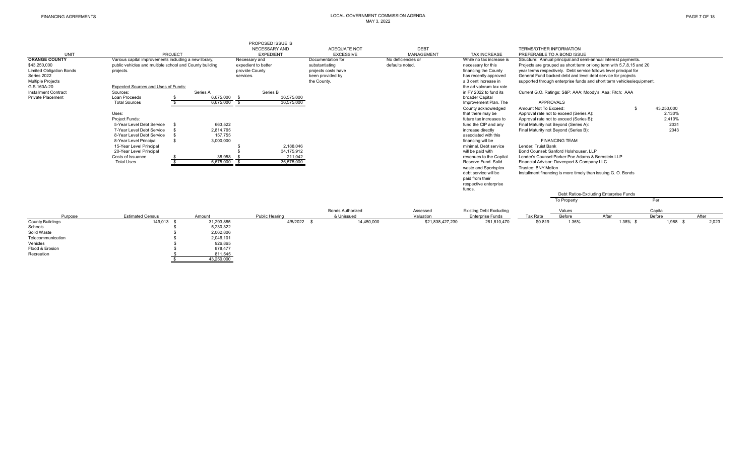| UNIT<br><b>ORANGE COUNTY</b>    | PROJECT<br>Various capital improvements including a new library, |              | PROPOSED ISSUE IS<br>NECESSARY AND<br><b>EXPEDIENT</b><br>Necessary and | ADEQUATE NOT<br><b>EXCESSIVE</b><br>Documentation for | <b>DEBT</b><br>MANAGEMENT<br>No deficiencies or | <b>TAX INCREASE</b><br>While no tax increase is | <b>TERMS/OTHER INFORMATION</b><br>PREFERABLE TO A BOND ISSUE     |                       | Structure: Annual principal and semi-annual interest payments.        |                      |       |
|---------------------------------|------------------------------------------------------------------|--------------|-------------------------------------------------------------------------|-------------------------------------------------------|-------------------------------------------------|-------------------------------------------------|------------------------------------------------------------------|-----------------------|-----------------------------------------------------------------------|----------------------|-------|
| \$43,250,000                    | public vehicles and multiple school and County building          |              | expedient to better                                                     | substantiating                                        | defaults noted.                                 | necessary for this                              |                                                                  |                       | Projects are grouped as short term or long term with 5,7,8,15 and 20  |                      |       |
| <b>Limited Obligation Bonds</b> | projects.                                                        |              | provide County                                                          | projects costs have                                   |                                                 | financing the County                            |                                                                  |                       | year terms respectively. Debt service follows level principal for     |                      |       |
| Series 2022                     |                                                                  |              | services.                                                               | been provided by                                      |                                                 | has recently approved                           |                                                                  |                       | General Fund backed debt and level debt service for projects          |                      |       |
| <b>Multiple Projects</b>        |                                                                  |              |                                                                         | the County.                                           |                                                 | a 3 cent increase in                            |                                                                  |                       | supported through enterprise funds and short term vehicles/equipment. |                      |       |
| G.S.160A-20                     | Expected Sources and Uses of Funds:                              |              |                                                                         |                                                       |                                                 | the ad valorum tax rate                         |                                                                  |                       |                                                                       |                      |       |
| Installment Contract            | Sources:                                                         | Series A     | Series B                                                                |                                                       |                                                 | in FY 2022 to fund its                          |                                                                  |                       | Current G.O. Ratings: S&P: AAA; Moody's: Aaa; Fitch: AAA              |                      |       |
| <b>Private Placement</b>        | Loan Proceeds                                                    | 6.675.000 \$ | 36.575.000                                                              |                                                       |                                                 | broader Capital                                 |                                                                  |                       |                                                                       |                      |       |
|                                 | <b>Total Sources</b>                                             | 6,675,000    | 36,575,000                                                              |                                                       |                                                 | Improvement Plan. The                           | <b>APPROVALS</b>                                                 |                       |                                                                       |                      |       |
|                                 | Uses:                                                            |              |                                                                         |                                                       |                                                 | County acknowledged<br>that there may be        | Amount Not To Exceed:<br>Approval rate not to exceed (Series A): |                       | \$                                                                    | 43,250,000<br>2.130% |       |
|                                 | Project Funds:                                                   |              |                                                                         |                                                       |                                                 | future tax increases to                         | Approval rate not to exceed (Series B):                          |                       |                                                                       | 2.410%               |       |
|                                 | 5-Year Level Debt Service                                        | 663,522      |                                                                         |                                                       |                                                 | fund the CIP and any                            | Final Maturity not Beyond (Series A):                            |                       |                                                                       | 2031                 |       |
|                                 | 7-Year Level Debt Service                                        | 2,814,765    |                                                                         |                                                       |                                                 | increase directly                               | Final Maturity not Beyond (Series B):                            |                       |                                                                       | 2043                 |       |
|                                 | 8-Year Level Debt Service                                        | 157,755      |                                                                         |                                                       |                                                 | associated with this                            |                                                                  |                       |                                                                       |                      |       |
|                                 | 8-Year Level Principal                                           | 3,000,000    |                                                                         |                                                       |                                                 | financing will be                               |                                                                  | <b>FINANCING TEAM</b> |                                                                       |                      |       |
|                                 | 15-Year Level Principal                                          |              | 2,188,046                                                               |                                                       |                                                 | minimal. Debt service                           | Lender: Truist Bank                                              |                       |                                                                       |                      |       |
|                                 | 20-Year Level Principal                                          |              | 34,175,912                                                              |                                                       |                                                 | will be paid with                               | Bond Counsel: Sanford Holshouser, LLP                            |                       |                                                                       |                      |       |
|                                 | Costs of Issuance                                                | 38,958       | 211,042                                                                 |                                                       |                                                 | revenues to the Capital                         | Lender's Counsel: Parker Poe Adams & Bernstein LLP               |                       |                                                                       |                      |       |
|                                 | <b>Total Uses</b>                                                | 6,675,000    | 36,575,000                                                              |                                                       |                                                 | Reserve Fund, Solid                             | Financial Advisor: Davenport & Company LLC                       |                       |                                                                       |                      |       |
|                                 |                                                                  |              |                                                                         |                                                       |                                                 | waste and Sportsplex                            | Trustee: BNY Mellon                                              |                       |                                                                       |                      |       |
|                                 |                                                                  |              |                                                                         |                                                       |                                                 | debt service will be                            |                                                                  |                       | Installment financing is more timely than issuing G. O. Bonds         |                      |       |
|                                 |                                                                  |              |                                                                         |                                                       |                                                 | paid from their                                 |                                                                  |                       |                                                                       |                      |       |
|                                 |                                                                  |              |                                                                         |                                                       |                                                 | respective enterprise                           |                                                                  |                       |                                                                       |                      |       |
|                                 |                                                                  |              |                                                                         |                                                       |                                                 | funds.                                          |                                                                  |                       |                                                                       |                      |       |
|                                 |                                                                  |              |                                                                         |                                                       |                                                 |                                                 |                                                                  |                       | Debt Ratios-Excluding Enterprise Funds                                |                      |       |
|                                 |                                                                  |              |                                                                         |                                                       |                                                 |                                                 |                                                                  | To Property           |                                                                       | Per                  |       |
|                                 |                                                                  |              |                                                                         | <b>Bonds Authorized</b>                               | Assessed                                        | <b>Existing Debt Excluding</b>                  |                                                                  | Values                |                                                                       | Capita               |       |
| Purpose                         | <b>Estimated Census</b>                                          | Amount       | Public Hearing                                                          | & Unissued                                            | Valuation                                       | <b>Enterprise Funds</b>                         | Tax Rate                                                         | Before                | After                                                                 | Before               | After |
| <b>County Buildings</b>         | 149,013 \$                                                       | 31,293,885   | $4/5/2022$ \$                                                           |                                                       | 14,450,000<br>\$21,838,427,230                  | 281,810,470                                     | \$0.819                                                          | 1.36%                 | $1.38\%$ \$                                                           | 1,988 \$             | 2,023 |
| Schools                         |                                                                  | 5,230,322    |                                                                         |                                                       |                                                 |                                                 |                                                                  |                       |                                                                       |                      |       |
| Solid Waste                     |                                                                  | 2,062,806    |                                                                         |                                                       |                                                 |                                                 |                                                                  |                       |                                                                       |                      |       |
| Telecommunication               |                                                                  | 2.046.101    |                                                                         |                                                       |                                                 |                                                 |                                                                  |                       |                                                                       |                      |       |
| Vehicles                        |                                                                  | 926,865      |                                                                         |                                                       |                                                 |                                                 |                                                                  |                       |                                                                       |                      |       |
| Flood & Erosion                 |                                                                  | 878,477      |                                                                         |                                                       |                                                 |                                                 |                                                                  |                       |                                                                       |                      |       |
| Recreation                      |                                                                  | 811,545      |                                                                         |                                                       |                                                 |                                                 |                                                                  |                       |                                                                       |                      |       |
|                                 |                                                                  | 43,250,000   |                                                                         |                                                       |                                                 |                                                 |                                                                  |                       |                                                                       |                      |       |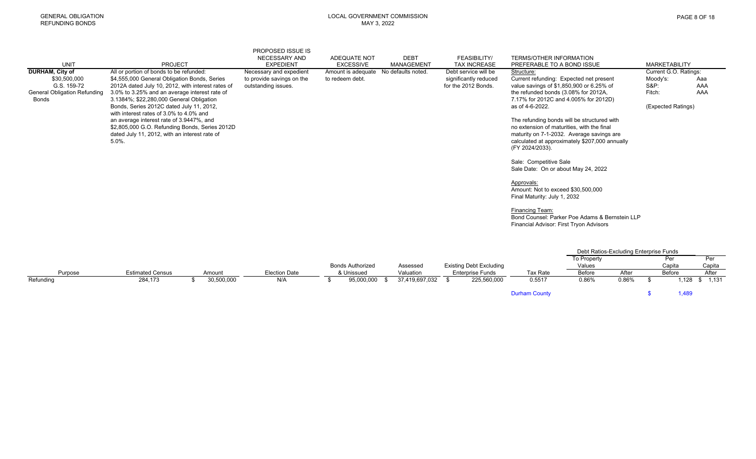| <b>PAGE 8 OF 18</b> |  |  |  |
|---------------------|--|--|--|
|---------------------|--|--|--|

|                                     |                                                                                                                                                                                                     | PROPOSED ISSUE IS         |                     |                    |                                              |                                                                                                                                                                                                             |                             |            |
|-------------------------------------|-----------------------------------------------------------------------------------------------------------------------------------------------------------------------------------------------------|---------------------------|---------------------|--------------------|----------------------------------------------|-------------------------------------------------------------------------------------------------------------------------------------------------------------------------------------------------------------|-----------------------------|------------|
|                                     |                                                                                                                                                                                                     | NECESSARY AND             | <b>ADEQUATE NOT</b> | <b>DEBT</b>        | <b>FEASIBILITY/</b>                          | <b>TERMS/OTHER INFORMATION</b>                                                                                                                                                                              |                             |            |
| <b>UNIT</b>                         | <b>PROJECT</b>                                                                                                                                                                                      | <b>EXPEDIENT</b>          | <b>EXCESSIVE</b>    | MANAGEMENT         | <b>TAX INCREASE</b>                          | PREFERABLE TO A BOND ISSUE                                                                                                                                                                                  | <b>MARKETABILITY</b>        |            |
| DURHAM, City of                     | All or portion of bonds to be refunded:                                                                                                                                                             | Necessary and expedient   | Amount is adequate  | No defaults noted. | Debt service will be                         | Structure:                                                                                                                                                                                                  | Current G.O. Ratings:       |            |
| \$30,500,000<br>G.S. 159-72         | \$4,555,000 General Obligation Bonds, Series                                                                                                                                                        | to provide savings on the | to redeem debt.     |                    | significantly reduced<br>for the 2012 Bonds. | Current refunding: Expected net present                                                                                                                                                                     | Moody's:<br><b>S&amp;P:</b> | Aaa<br>AAA |
| <b>General Obligation Refunding</b> | 2012A dated July 10, 2012, with interest rates of<br>3.0% to 3.25% and an average interest rate of                                                                                                  | outstanding issues.       |                     |                    |                                              | value savings of \$1,850,900 or 6.25% of<br>the refunded bonds (3.08% for 2012A,                                                                                                                            | Fitch:                      | AAA        |
| Bonds                               | 3.1384%; \$22,280,000 General Obligation                                                                                                                                                            |                           |                     |                    |                                              | 7.17% for 2012C and 4.005% for 2012D)                                                                                                                                                                       |                             |            |
|                                     | Bonds, Series 2012C dated July 11, 2012,                                                                                                                                                            |                           |                     |                    |                                              | as of 4-6-2022.                                                                                                                                                                                             | (Expected Ratings)          |            |
|                                     | with interest rates of 3.0% to 4.0% and<br>an average interest rate of 3.9447%, and<br>\$2,805,000 G.O. Refunding Bonds, Series 2012D<br>dated July 11, 2012, with an interest rate of<br>$5.0\%$ . |                           |                     |                    |                                              | The refunding bonds will be structured with<br>no extension of maturities, with the final<br>maturity on 7-1-2032. Average savings are<br>calculated at approximately \$207,000 annually<br>(FY 2024/2033). |                             |            |
|                                     |                                                                                                                                                                                                     |                           |                     |                    |                                              | Sale: Competitive Sale<br>Sale Date: On or about May 24, 2022                                                                                                                                               |                             |            |
|                                     |                                                                                                                                                                                                     |                           |                     |                    |                                              | Approvals:<br>Amount: Not to exceed \$30,500,000<br>Final Maturity: July 1, 2032                                                                                                                            |                             |            |
|                                     |                                                                                                                                                                                                     |                           |                     |                    |                                              | Financing Team:<br>Bond Counsel: Parker Poe Adams & Bernstein LLP<br>Financial Advisor: First Tryon Advisors                                                                                                |                             |            |

|           |                         |            |                      |                         |                |                         |                      | Debt Ratios-Excluding Enterprise Funds |          |                |         |
|-----------|-------------------------|------------|----------------------|-------------------------|----------------|-------------------------|----------------------|----------------------------------------|----------|----------------|---------|
|           |                         |            |                      |                         |                |                         |                      | <b>To Property</b>                     |          | Per            | Per     |
|           |                         |            |                      | <b>Bonds Authorized</b> | Assessec       | Existing Debt Excluding |                      | Values                                 |          | Capita         | Capita  |
| Purpose   | <b>Estimated Census</b> | Amount     | <b>Election Date</b> | & Unissued              | Valuation      | <b>Enterprise Funds</b> | Tax Rate             | Before                                 | After    | <b>Before</b>  | After   |
| Refunding | 284,173                 | 30,500,000 | N/A                  | 95,000,000              | 37,419,697,032 | 225,560,000             | 0.5517               | 0.86%                                  | $0.86\%$ | $^{\circ}$ 128 | \$1,131 |
|           |                         |            |                      |                         |                |                         | <b>Durham County</b> |                                        |          | 1,489          |         |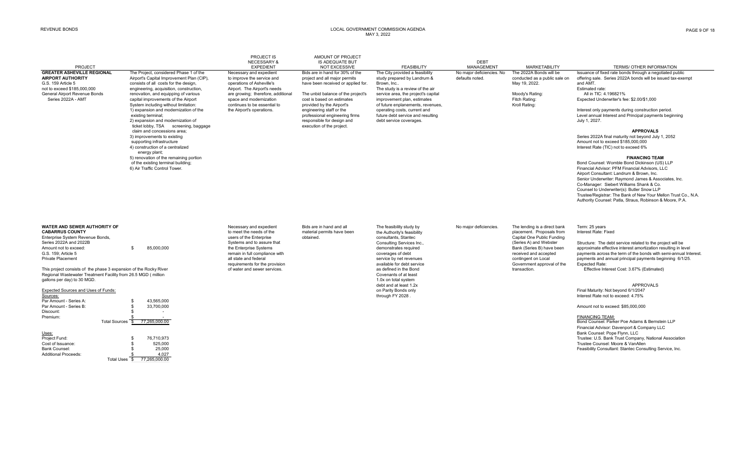| PROJECT                                                                                                                                                                                                                                                                                                                                                                                                                                                                                                                                                                                                     |                                                                                                                                                                                                                                                                                                                                                                                                                                                                                                                                                                           | PROJECT IS<br><b>NECESSARY &amp;</b><br><b>EXPEDIENT</b>                                                                                                                                                                                                            | AMOUNT OF PROJECT<br><b>IS ADEQUATE BUT</b><br><b>NOT EXCESSIVE</b>                                                                                                                                                                                                                                                              | <b>FEASIBILITY</b>                                                                                                                                                                                                                                                                                                                                                   | <b>DEBT</b><br>MANAGEMENT                    | <b>MARKETABILITY</b>                                                                                                                                                                                                                         | <b>TERMS/ OTHER INFORMATION</b>                                                                                                                                                                                                                                                                                                                                                                                                                                                                                                                                                                                                                                                                                                                                                                                                     |
|-------------------------------------------------------------------------------------------------------------------------------------------------------------------------------------------------------------------------------------------------------------------------------------------------------------------------------------------------------------------------------------------------------------------------------------------------------------------------------------------------------------------------------------------------------------------------------------------------------------|---------------------------------------------------------------------------------------------------------------------------------------------------------------------------------------------------------------------------------------------------------------------------------------------------------------------------------------------------------------------------------------------------------------------------------------------------------------------------------------------------------------------------------------------------------------------------|---------------------------------------------------------------------------------------------------------------------------------------------------------------------------------------------------------------------------------------------------------------------|----------------------------------------------------------------------------------------------------------------------------------------------------------------------------------------------------------------------------------------------------------------------------------------------------------------------------------|----------------------------------------------------------------------------------------------------------------------------------------------------------------------------------------------------------------------------------------------------------------------------------------------------------------------------------------------------------------------|----------------------------------------------|----------------------------------------------------------------------------------------------------------------------------------------------------------------------------------------------------------------------------------------------|-------------------------------------------------------------------------------------------------------------------------------------------------------------------------------------------------------------------------------------------------------------------------------------------------------------------------------------------------------------------------------------------------------------------------------------------------------------------------------------------------------------------------------------------------------------------------------------------------------------------------------------------------------------------------------------------------------------------------------------------------------------------------------------------------------------------------------------|
| <b>GREATER ASHEVILLE REGIONAL</b><br><b>AIRPORT AUTHORITY</b><br>G.S. 159 Article 5<br>not to exceed \$185,000,000<br>General Airport Revenue Bonds<br>Series 2022A - AMT                                                                                                                                                                                                                                                                                                                                                                                                                                   | The Project, considered Phase 1 of the<br>Airport's Capital Improvement Plan (CIP),<br>consists of all costs for the design,<br>engineering, acquisition, construction,<br>renovation, and equipping of various<br>capital improvements of the Airport<br>System including without limitation:<br>1) expansion and modernization of the<br>existing terminal;<br>2) expansion and modernization of<br>ticket lobby, TSA screening, baggage<br>claim and concessions area:<br>3) improvements to existing<br>supporting infrastructure<br>4) construction of a centralized | Necessary and expedient<br>to improve the service and<br>operations of Asheville's<br>Airport. The Airport's needs<br>are growing; therefore, additional<br>space and modernization<br>continues to be essential to<br>the Airport's operations.                    | Bids are in hand for 30% of the<br>project and all major permits<br>have been received or applied for.<br>The unbid balance of the project's<br>cost is based on estimates<br>provided by the Airport's<br>engineering staff or the<br>professional engineering firms<br>responsible for design and<br>execution of the project. | The City provided a feasibility<br>study prepared by Landrum &<br>Brown, Inc.,<br>The study is a review of the air<br>service area, the project's capital<br>improvement plan, estimates<br>of future enplanements, revenues,<br>operating costs, current and<br>future debt service and resulting<br>debt service coverages.                                        | No major deficiencies. No<br>defaults noted. | The 2022A Bonds will be<br>conducted as a public sale on<br>May 19, 2022.<br>Moody's Rating:<br>Fitch Rating:<br>Kroll Rating:                                                                                                               | Issuance of fixed rate bonds through a negotiated public<br>offering sale. Series 2022A bonds will be issued tax-exempt<br>and AMT.<br>Estimated rate:<br>All in TIC: 4.196821%<br>Expected Underwriter's fee: \$2.00/\$1,000<br>Interest only payments during construction period.<br>Level annual Interest and Principal payments beginning<br>July 1, 2027.<br><b>APPROVALS</b><br>Series 2022A final maturity not beyond July 1, 2052<br>Amount not to exceed \$185,000,000<br>Interest Rate (TIC) not to exceed 6%                                                                                                                                                                                                                                                                                                             |
|                                                                                                                                                                                                                                                                                                                                                                                                                                                                                                                                                                                                             | energy plant;<br>5) renovation of the remaining portion<br>of the existing terminal building;<br>6) Air Traffic Control Tower.                                                                                                                                                                                                                                                                                                                                                                                                                                            |                                                                                                                                                                                                                                                                     |                                                                                                                                                                                                                                                                                                                                  |                                                                                                                                                                                                                                                                                                                                                                      |                                              |                                                                                                                                                                                                                                              | <b>FINANCING TEAM</b><br>Bond Counsel: Womble Bond Dickinson (US) LLP<br>Financial Advisor: PFM Financial Advisors, LLC<br>Airport Consultant: Landrum & Brown, Inc.<br>Senior Underwriter: Raymond James & Associates, Inc.<br>Co-Manager: Siebert Williams Shank & Co.<br>Counsel to Underwriter(s): Butler Snow LLP<br>Trustee/Registrar: The Bank of New Your Mellon Trust Co., N.A.<br>Authority Counsel: Patla, Straus, Robinson & Moore, P.A.                                                                                                                                                                                                                                                                                                                                                                                |
| WATER AND SEWER AUTHORITY OF<br><b>CABARRUS COUNTY</b><br>Enterprise System Revenue Bonds,<br>Series 2022A and 2022B<br>Amount not to exceed:<br>G.S. 159: Article 5<br><b>Private Placement</b><br>This project consists of the phase 3 expansion of the Rocky River<br>Regional Wastewater Treatment Facility from 26.5 MGD (million<br>gallons per day) to 30 MGD.<br>Expected Sources and Uses of Funds:<br>Sources:<br>Par Amount - Series A:<br>Par Amount - Series B:<br>Discount:<br>Premium:<br>Uses:<br>Project Fund:<br>Cost of Issuance:<br><b>Bank Counsel:</b><br><b>Additional Proceeds:</b> | 85,000,000<br>£.<br>43.565.000<br>-S<br>33,700,000<br>Total Sources \$ 77,265,000.00<br>76,710,973<br>525.000<br>25,000<br>4.027<br>Total Uses \$77,265,000.00                                                                                                                                                                                                                                                                                                                                                                                                            | Necessary and expedient<br>to meet the needs of the<br>users of the Enterprise<br>Systems and to assure that<br>the Enterprise Systems<br>remain in full compliance with<br>all state and federal<br>requirements for the provision<br>of water and sewer services. | Bids are in hand and all<br>material permits have been<br>obtained.                                                                                                                                                                                                                                                              | The feasibility study by<br>the Authority's feasibility<br>consultants, Stantec<br>Consulting Services Inc.,<br>demonstrates required<br>coverages of debt<br>service by net revenues<br>available for debt service<br>as defined in the Bond<br>Covenants of at least<br>1.0x on total system<br>debt and at least 1.2x<br>on Parity Bonds only<br>through FY 2028. | No major deficiencies.                       | The lending is a direct bank<br>placement. Proposals from<br>Capital One Public Funding<br>(Series A) and Webster<br>Bank (Series B) have been<br>received and accepted<br>contingent on Local<br>Government approval of the<br>transaction. | Term: 25 years<br>Interest Rate: Fixed<br>Structure: The debt service related to the project will be<br>approximate effective interest amortization resulting in level<br>payments across the term of the bonds with semi-annual Interest.<br>payments and annual principal payments beginning 6/1/25.<br><b>Expected Rate:</b><br>Effective Interest Cost: 3.67% (Estimated)<br>APPROVALS<br>Final Maturity: Not beyond 6/1/2047<br>Interest Rate not to exceed: 4.75%<br>Amount not to exceed: \$85,000,000<br><b>FINANCING TEAM:</b><br>Bond Counsel: Parker Poe Adams & Bernstein LLP<br>Financial Advisor: Davenport & Company LLC<br>Bank Counsel: Pope Flynn, LLC<br>Trustee: U.S. Bank Trust Company, National Association<br>Trustee Counsel: Moore & VanAllen<br>Feasibility Consultant: Stantec Consulting Service, Inc. |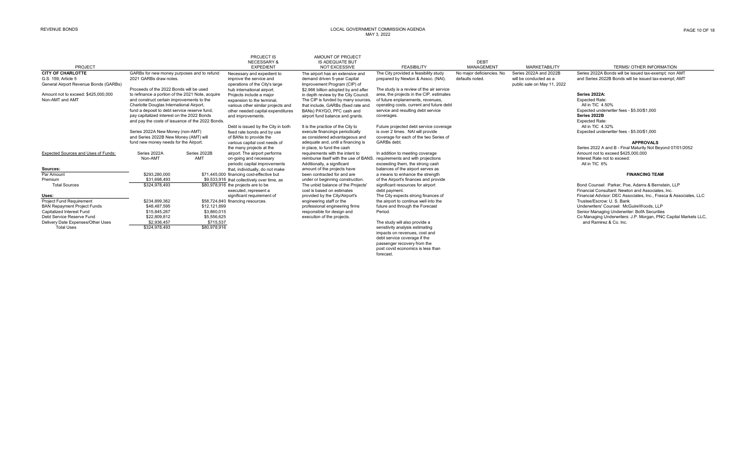|                                       |                                                  |              | PROJECT IS                                  | AMOUNT OF PROJECT                                                        |                                          |                           |                             |                                                                   |
|---------------------------------------|--------------------------------------------------|--------------|---------------------------------------------|--------------------------------------------------------------------------|------------------------------------------|---------------------------|-----------------------------|-------------------------------------------------------------------|
|                                       |                                                  |              | <b>NECESSARY &amp;</b>                      | <b>IS ADEQUATE BUT</b>                                                   |                                          | <b>DEBT</b>               |                             |                                                                   |
| PROJECT                               |                                                  |              | <b>EXPEDIENT</b>                            | <b>NOT EXCESSIVE</b>                                                     | <b>FEASIBILITY</b>                       | <b>MANAGEMENT</b>         | <b>MARKETABILITY</b>        | TERMS/ OTHER INFORMATION                                          |
| <b>CITY OF CHARLOTTE</b>              | GARBs for new money purposes and to refund       |              | Necessary and expedient to                  | The airport has an extensive and                                         | The City provided a feasibility study    | No major deficiencies. No | Series 2022A and 2022B      | Series 2022A Bonds will be issued tax-exempt; non AMT             |
| G.S. 159: Article 5                   | 2021 GARBs draw notes.                           |              | improve the service and                     | demand driven 5-year Capital                                             | prepared by Newton & Assoc. (NAI).       | defaults noted.           | will be conducted as a      | and Series 2022B Bonds will be issued tax-exempt: AMT             |
| General Airport Revenue Bonds (GARBs) |                                                  |              | operations of the City's large              | Improvement Program (CIP) of                                             |                                          |                           | public sale on May 11, 2022 |                                                                   |
|                                       | Proceeds of the 2022 Bonds will be used          |              | hub international airport.                  | \$2.966 billion adopted by and after                                     | The study is a review of the air service |                           |                             |                                                                   |
| Amount not to exceed: \$425,000,000   | to refinance a portion of the 2021 Note, acquire |              | Projects include a major                    | in depth review by the City Council.                                     | area, the projects in the CIP, estimates |                           |                             | Series 2022A:                                                     |
| Non-AMT and AMT                       | and construct certain improvements to the        |              | expansion to the terminal.                  | The CIP is funded by many sources,                                       | of future enplanements, revenues.        |                           |                             | <b>Expected Rate:</b>                                             |
|                                       | Charlotte Douglas International Airport.         |              | various other similar projects and          | that include, GARBs (fixed rate and                                      | operating costs, current and future debt |                           |                             | All in TIC 4.50%                                                  |
|                                       | fund a deposit to debt service reserve fund,     |              | other needed capital expenditures           | BANs) PAYGO, PFC cash and                                                | service and resulting debt service       |                           |                             | Expected underwriter fees - \$5,00/\$1,000                        |
|                                       | pay capitalized interest on the 2022 Bonds       |              | and improvements.                           | airport fund balance and grants.                                         | coverages.                               |                           |                             | Series 2022B                                                      |
|                                       | and pay the costs of issuance of the 2022 Bonds. |              |                                             |                                                                          |                                          |                           |                             | <b>Expected Rate:</b>                                             |
|                                       |                                                  |              | Debt is issued by the City in both          | It is the practice of the City to                                        | Future projected debt service coverage   |                           |                             | All in TIC 4.32%                                                  |
|                                       | Series 2022A New Money (non-AMT)                 |              | fixed rate bonds and by use                 | execute financings periodically                                          | is over 2 times. NAI will provide        |                           |                             | Expected underwriter fees - \$5.00/\$1,000                        |
|                                       | and Series 2022B New Money (AMT) will            |              | of BANs to provide the                      | as considered advantageous and                                           | coverage for each of the two Series of   |                           |                             |                                                                   |
|                                       | fund new money needs for the Airport.            |              | various capital cost needs of               | adequate and, until a financing is                                       | GARBs debt.                              |                           |                             | <b>APPROVALS</b>                                                  |
|                                       |                                                  |              | the many projects at the                    | in place, to fund the cash                                               |                                          |                           |                             | Series 2022 A and B - Final Maturity Not Beyond 07/01/2052        |
| Expected Sources and Uses of Funds:   | Series 2022A                                     | Series 2022B | airport. The airport performs               | requirements with the intent to                                          | In addition to meeting coverage          |                           |                             | Amount not to exceed \$425,000,000                                |
|                                       | Non-AMT                                          | AMT          | on-going and necessary                      | reimburse itself with the use of BANS. requirements and with projections |                                          |                           |                             | Interest Rate not to exceed:                                      |
|                                       |                                                  |              | periodic capital improvements               | Additionally, a significant                                              | exceeding them, the strong cash          |                           |                             | All in TIC 6%                                                     |
| Sources:                              |                                                  |              | that, individually, do not make             | amount of the projects have                                              | balances of the airport serves as        |                           |                             |                                                                   |
| Par Amount                            | \$293,280,000                                    |              | \$71,445,000 financing cost-effective but   | been contracted for and are                                              | a means to enhance the strength          |                           |                             | <b>FINANCING TEAM</b>                                             |
| Premium                               | \$31,698,493                                     |              | \$9,533,916 that collectively over time, as | under or beginning construction.                                         | of the Airport's finances and provide    |                           |                             |                                                                   |
| <b>Total Sources</b>                  | \$324,978,493                                    |              | \$80,978,916 the projects are to be         | The unbid balance of the Projects'                                       | significant resources for airport        |                           |                             | Bond Counsel: Parker, Poe, Adams & Bernstein, LLP                 |
|                                       |                                                  |              | executed, represent a                       | cost is based on estimates                                               | debt payment.                            |                           |                             | Financial Consultant: Newton and Associates, Inc.                 |
| Uses:                                 |                                                  |              | significant requirement of                  | provided by the City/Airport's                                           | The City expects strong finances of      |                           |                             | Financial Advisor: DEC Associates, Inc., Frasca & Associates, LLC |
| <b>Project Fund Requirement</b>       | \$234.899.362                                    |              | \$58,724,840 financing resources.           | engineering staff or the                                                 | the airport to continue well into the    |                           |                             | Trustee/Escrow: U. S. Bank                                        |
| <b>BAN Repayment Project Funds</b>    | \$48,487,595                                     | \$12,121,899 |                                             | professional engineering firms                                           | future and through the Forecast          |                           |                             | Underwriters' Counsel: McGuireWoods, LLP                          |
| Capitalized Interest Fund             | \$15,845,267                                     | \$3,860,015  |                                             | responsible for design and                                               | Period.                                  |                           |                             | Senior Managing Underwriter: BofA Securities                      |
| Debt Service Reserve Fund             | \$22,809,812                                     | \$5,556,625  |                                             | execution of the projects.                                               |                                          |                           |                             | Co Managing Underwriters: J.P. Morgan, PNC Capital Markets LLC,   |
| Delivery Date Expenses/Other Uses     | \$2,936,457                                      | \$715,537    |                                             |                                                                          | The study will also provide a            |                           |                             | and Ramirez & Co. Inc.                                            |
| <b>Total Uses</b>                     | \$324,978,493                                    | \$80,978,916 |                                             |                                                                          | sensitivity analysis estimating          |                           |                             |                                                                   |
|                                       |                                                  |              |                                             |                                                                          | impacts on revenues, cost and            |                           |                             |                                                                   |
|                                       |                                                  |              |                                             |                                                                          | debt service coverage if the             |                           |                             |                                                                   |
|                                       |                                                  |              |                                             |                                                                          | passenger recovery from the              |                           |                             |                                                                   |
|                                       |                                                  |              |                                             |                                                                          |                                          |                           |                             |                                                                   |

post covid economics is less than

forecast.

PAGE 10 OF 18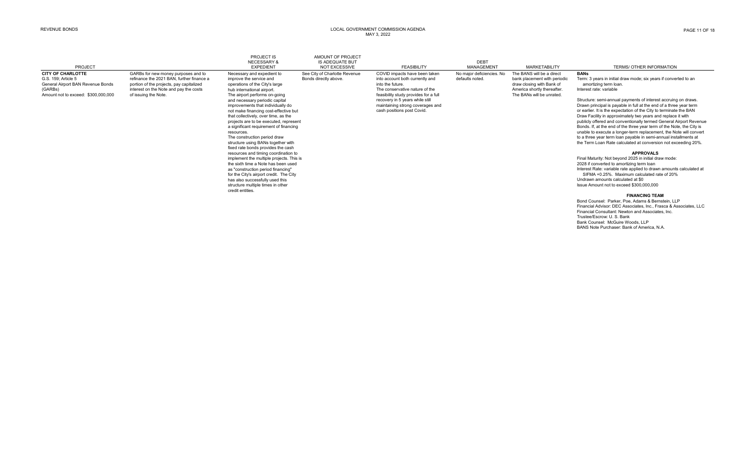| <b>PROJECT</b>                                                                                                                         |                                                                                                                                                                                                | PROJECT IS<br><b>NECESSARY&amp;</b><br><b>EXPEDIENT</b>                                                                                                                                                                                                                                                                                                                                                                                                                                                                                                                                                                                                                                                                                                                                                                              | AMOUNT OF PROJECT<br><b>IS ADEQUATE BUT</b><br><b>NOT EXCESSIVE</b> | <b>FEASIBILITY</b>                                                                                                                                                                                                                                                   | <b>DEBT</b><br>MANAGEMENT                    | <b>MARKETABILITY</b>                                                                                                                               | TERMS/ OTHER INFORMATION                                                                                                                                                                                                                                                                                                                                                                                                                                                                                                                                                                                                                                                                                                                                                                                                                                                                                                                                                                                                                                                                                       |
|----------------------------------------------------------------------------------------------------------------------------------------|------------------------------------------------------------------------------------------------------------------------------------------------------------------------------------------------|--------------------------------------------------------------------------------------------------------------------------------------------------------------------------------------------------------------------------------------------------------------------------------------------------------------------------------------------------------------------------------------------------------------------------------------------------------------------------------------------------------------------------------------------------------------------------------------------------------------------------------------------------------------------------------------------------------------------------------------------------------------------------------------------------------------------------------------|---------------------------------------------------------------------|----------------------------------------------------------------------------------------------------------------------------------------------------------------------------------------------------------------------------------------------------------------------|----------------------------------------------|----------------------------------------------------------------------------------------------------------------------------------------------------|----------------------------------------------------------------------------------------------------------------------------------------------------------------------------------------------------------------------------------------------------------------------------------------------------------------------------------------------------------------------------------------------------------------------------------------------------------------------------------------------------------------------------------------------------------------------------------------------------------------------------------------------------------------------------------------------------------------------------------------------------------------------------------------------------------------------------------------------------------------------------------------------------------------------------------------------------------------------------------------------------------------------------------------------------------------------------------------------------------------|
| <b>CITY OF CHARLOTTE</b><br>G.S. 159: Article 5<br>General Airport BAN Revenue Bonds<br>(GARBs)<br>Amount not to exceed: \$300,000,000 | GARBs for new money purposes and to<br>refinance the 2021 BAN, further finance a<br>portion of the projects, pay capitalized<br>interest on the Note and pay the costs<br>of issuing the Note. | Necessary and expedient to<br>improve the service and<br>operations of the City's large<br>hub international airport.<br>The airport performs on-going<br>and necessary periodic capital<br>improvements that individually do<br>not make financing cost-effective but<br>that collectively, over time, as the<br>projects are to be executed, represent<br>a significant requirement of financing<br>resources.<br>The construction period draw<br>structure using BANs together with<br>fixed rate bonds provides the cash<br>resources and timing coordination to<br>implement the multiple projects. This is<br>the sixth time a Note has been used<br>as "construction period financing"<br>for the City's airport credit. The City<br>has also successfully used this<br>structure multiple times in other<br>credit entities. | See City of Charlotte Revenue<br>Bonds directly above.              | COVID impacts have been taken<br>into account both currently and<br>into the future.<br>The conservative nature of the<br>feasibility study provides for a full<br>recovery in 5 years while still<br>maintaining strong coverages and<br>cash positions post Covid. | No major deficiencies. No<br>defaults noted. | The BANS will be a direct<br>bank placement with periodic<br>draw closing with Bank of<br>America shortly thereafter.<br>The BANs will be unrated. | <b>BANs</b><br>Term: 3 years in initial draw mode; six years if converted to an<br>amortizing term loan.<br>Interest rate: variable<br>Structure: semi-annual payments of interest accruing on draws.<br>Drawn principal is payable in full at the end of a three year term<br>or earlier. It is the expectation of the City to terminate the BAN<br>Draw Facility in approximately two years and replace it with<br>publicly offered and conventionally termed General Airport Revenue<br>Bonds. If, at the end of the three year term of the Note, the City is<br>unable to execute a longer-term replacement, the Note will convert<br>to a three year term loan payable in semi-annual installments at<br>the Term Loan Rate calculated at conversion not exceeding 20%.<br><b>APPROVALS</b><br>Final Maturity: Not beyond 2025 in initial draw mode:<br>2028 if converted to amortizing term loan<br>Interest Rate: variable rate applied to drawn amounts calculated at<br>SIFMA +0.25%. Maximum calculated rate of 20%<br>Undrawn amounts calculated at \$0<br>Issue Amount not to exceed \$300,000,000 |
|                                                                                                                                        |                                                                                                                                                                                                |                                                                                                                                                                                                                                                                                                                                                                                                                                                                                                                                                                                                                                                                                                                                                                                                                                      |                                                                     |                                                                                                                                                                                                                                                                      |                                              |                                                                                                                                                    | <b>FINANCING TEAM</b><br>Bond Counsel: Parker, Poe, Adams & Bernstein, LLP<br>Financial Advisor: DEC Associates, Inc., Frasca & Associates, LLC<br>Financial Consultant: Newton and Associates, Inc.<br>Trustee/Escrow: U. S. Bank<br>Bank Counsel: McGuire Woods, LLP<br>BANS Note Purchaser: Bank of America, N.A.                                                                                                                                                                                                                                                                                                                                                                                                                                                                                                                                                                                                                                                                                                                                                                                           |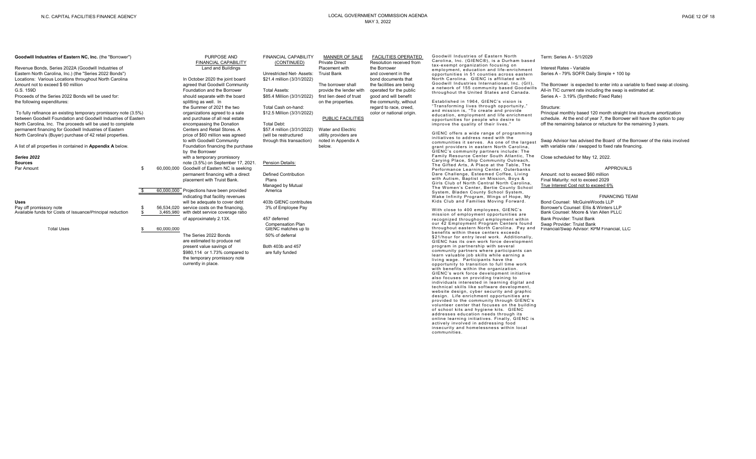| PAGE 12 OF 18 |  |  |  |
|---------------|--|--|--|
|---------------|--|--|--|

| Goodwill Industries of Eastern NC, Inc. (the "Borrower")          |            | PURPOSE AND                                  | <b>FINANCIAL CAPABILITY</b> | MANNER OF SALE           | <b>FACILITIES OPERATED</b> | Goodwill Industries of Eastern North<br>Carolina, Inc. (GIENC®), is a Durham based        | Term: Series A - 5/1/2029                                                   |
|-------------------------------------------------------------------|------------|----------------------------------------------|-----------------------------|--------------------------|----------------------------|-------------------------------------------------------------------------------------------|-----------------------------------------------------------------------------|
|                                                                   |            | FINANCIAL CAPABILITY                         | (CONTINUED)                 | <b>Private Direct</b>    | Resolution received from   | tax-exempt organization focusing on                                                       |                                                                             |
| Revenue Bonds, Series 2022A (Goodwill Industries of               |            | Land and Buildings                           |                             | Placement with           | the Borrower               | employment, education and life-enrichment                                                 | Interest Rates - Variable                                                   |
| Eastern North Carolina, Inc.) (the "Series 2022 Bonds")           |            |                                              | Unrestricted Net-Assets:    | <b>Truist Bank</b>       | and covenent in the        | opportunities in 51 counties across eastern                                               | Series A - 79% SOFR Daily Simple + 100 bp                                   |
| Locations: Various Locations throughout North Carolina            |            | In October 2020 the joint board              | \$21.4 million (3/31/2022)  |                          | bond documents that        | North Carolina. GIENC is affiliated with                                                  |                                                                             |
| Amount not to exceed \$60 million                                 |            | agreed that Goodwill Community               |                             | The borrower shall       | the facilities are being   | Goodwill Industries International, Inc. (GII),                                            | The Borrower is expected to enter into a variable to fixed swap at closing. |
| G.S. 159D                                                         |            | Foundation and the Borrower                  | <b>Total Assets:</b>        | provide the lender with  | operated for the public    | a network of 155 community based Goodwills                                                | All-in TIC current rate including the swap is estimated at:                 |
| Proceeds of the Series 2022 Bonds will be used for:               |            | should separate with the board               | \$85.4 Million (3/31/2022)  | first lien deed of trust |                            | throughout the United States and Canada.                                                  | Series A - 3.19% (Synthetic Fixed Rate)                                     |
|                                                                   |            |                                              |                             |                          | good and will benefit      |                                                                                           |                                                                             |
| the following expenditures:                                       |            | splitting as well. In                        |                             | on the properties.       | the community, without     | Established in 1964, GIENC's vision is<br>"Transforming lives through opportunity,"       |                                                                             |
|                                                                   |            | the Summer of 2021 the two                   | Total Cash on-hand:         |                          | regard to race, creed,     | and mission is, "To create and provide                                                    | Structure:                                                                  |
| To fully refinance an existing temporary promissory note (3.5%)   |            | organizations agreed to a sale               | \$12.5 Million (3/31/2022)  |                          | color or national origin.  | education, employment and life enrichment                                                 | Principal monthly based 120 month straight line structure amortization      |
| between Goodwill Foundation and Goodwill Industries of Eastern    |            | and purchase of all real estate              |                             | PUBLIC FACILITIES        |                            | opportunities for people who desire to                                                    | schedule. At the end of year 7, the Borrower will have the option to pay    |
| North Carolina, Inc. The proceeds will be used to complete        |            | encompassing the Donation                    | <b>Total Debt:</b>          |                          |                            | improve the quality of their lives."                                                      | off the remaining balance or retucture for the remaining 3 years.           |
| permanent financing for Goodwill Industries of Eastern            |            | Centers and Retail Stores. A                 | \$57.4 million (3/31/2022)  | Water and Electric       |                            |                                                                                           |                                                                             |
| North Carolina's (Buyer) purchase of 42 retail properties.        |            | price of \$60 million was agreed             | (will be restructured       | utility providers are    |                            | GIENC offers a wide range of programming                                                  |                                                                             |
|                                                                   |            | to with Goodwill Community                   | through this transaction)   | noted in Appendix A      |                            | initiatives to address need with the                                                      | Swap Advisor has advised the Board of the Borrower of the risks involved    |
| A list of all properties in contained in <b>Appendix A</b> below. |            | Foundation financing the purchase            |                             | below.                   |                            | communities it serves. As one of the largest                                              | with variable rate / swapped to fixed rate financing.                       |
|                                                                   |            |                                              |                             |                          |                            | grant providers in eastern North Carolina,<br>GIENC's community partners include: The     |                                                                             |
|                                                                   |            | by the Borrower                              |                             |                          |                            | Family Resource Center South Atlantic, The                                                |                                                                             |
| Series 2022                                                       |            | with a temporary promissory                  |                             |                          |                            | Carying Place, Ship Community Outreach,                                                   | Close scheduled for May 12, 2022.                                           |
| Sources                                                           |            | note (3.5%) on September 17, 2021            | Pension Details:            |                          |                            | The Gifted Arts, A Place at the Table, The                                                |                                                                             |
| Par Amount                                                        |            | 60,000,000 Goodwill of Eastern NC is seeking |                             |                          |                            | Performance Learning Center, Outerbanks                                                   | <b>APPROVALS</b>                                                            |
|                                                                   |            | permanent financing with a direct            | <b>Defined Contribution</b> |                          |                            | Dare Challenge, Esteemed Coffee, Living                                                   | Amount: not to exceed \$60 million                                          |
|                                                                   |            | placement with Truist Bank.                  | Plans                       |                          |                            | with Autism, Baptist on Mission, Boys &                                                   | Final Maturity: not to exceed 2029                                          |
|                                                                   |            |                                              | Managed by Mutual           |                          |                            | Girls Club of North Central North Carolina,                                               | True Interest Cost not to exceed 6%                                         |
|                                                                   |            | 60,000,000 Projections have been provided    | America                     |                          |                            | The Women's Center, Bertie County School                                                  |                                                                             |
|                                                                   |            | indicating that facility revenues            |                             |                          |                            | System, Bladen County School System,                                                      | <b>FINANCING TEAM</b>                                                       |
|                                                                   |            |                                              |                             |                          |                            | Wake Infinity Program, Wings of Hope, My<br>Kids Club and Families Moving Forward.        |                                                                             |
| Uses                                                              |            | will be adequate to cover debt               | 403b GIENC contributes      |                          |                            |                                                                                           | Bond Counsel: McGuireWoods LLP                                              |
| Pay off promissory note                                           |            | 56.534.020 service costs on the financing.   | 3% of Employee Pay          |                          |                            | With close to 400 employees, GIENC's                                                      | Borrower's Counsel: Ellis & Winters LLP                                     |
| Available funds for Costs of Issuance/Principal reduction         |            | 3,465,980 with debt service coverage ratio   |                             |                          |                            | mission of employment opportunities are                                                   | Bank Counsel: Moore & Van Allen PLLC                                        |
|                                                                   |            | of approximately 2.13X.                      | 457 deferred                |                          |                            | recognized throughout employment within                                                   | Bank Provider: Truist Bank                                                  |
|                                                                   |            |                                              | Compensation Plan           |                          |                            | our 42 Employment Program Centers found                                                   | Swap Provider: Truist Bank                                                  |
| <b>Total Uses</b>                                                 | 60.000.000 |                                              | GIENC matches up to         |                          |                            | throughout eastern North Carolina. Pay and                                                | Financial/Swap Advisor: KPM Financial, LLC                                  |
|                                                                   |            | The Series 2022 Bonds                        | 50% of deferral             |                          |                            | benefits within these centers exceeds                                                     |                                                                             |
|                                                                   |            | are estimated to produce net                 |                             |                          |                            | \$21/hour for entry level work. Additionally,<br>GIENC has its own work force development |                                                                             |
|                                                                   |            | present value savings of                     | Both 403b and 457           |                          |                            | program in partnership with several                                                       |                                                                             |
|                                                                   |            | \$980,114 or 1.73% compared to               | are fully funded            |                          |                            | community partners where participants can                                                 |                                                                             |
|                                                                   |            |                                              |                             |                          |                            | learn valuable job skills while earning a                                                 |                                                                             |
|                                                                   |            | the temporary promissory note                |                             |                          |                            | living wage. Participants have the                                                        |                                                                             |
|                                                                   |            | currently in place.                          |                             |                          |                            | opportunity to transition to full time work                                               |                                                                             |
|                                                                   |            |                                              |                             |                          |                            | with benefits within the organization.                                                    |                                                                             |
|                                                                   |            |                                              |                             |                          |                            | GIENC's work force development initiative                                                 |                                                                             |
|                                                                   |            |                                              |                             |                          |                            | also focuses on providing training to<br>individuals interested in learning digital and   |                                                                             |
|                                                                   |            |                                              |                             |                          |                            | technical skills like software development,                                               |                                                                             |
|                                                                   |            |                                              |                             |                          |                            | website design, cyber security and graphic                                                |                                                                             |
|                                                                   |            |                                              |                             |                          |                            | design. Life enrichment opportunities are                                                 |                                                                             |
|                                                                   |            |                                              |                             |                          |                            | provided to the community through GIENC's                                                 |                                                                             |
|                                                                   |            |                                              |                             |                          |                            | volunteer center that focuses on the building                                             |                                                                             |
|                                                                   |            |                                              |                             |                          |                            | of school kits and hygiene kits. GIENC                                                    |                                                                             |
|                                                                   |            |                                              |                             |                          |                            | addresses education needs through its                                                     |                                                                             |
|                                                                   |            |                                              |                             |                          |                            | online learning initiatives. Finally, GIENC is<br>actively involved in addressing food    |                                                                             |
|                                                                   |            |                                              |                             |                          |                            | insecurity and homelessness within local                                                  |                                                                             |
|                                                                   |            |                                              |                             |                          |                            | communities.                                                                              |                                                                             |
|                                                                   |            |                                              |                             |                          |                            |                                                                                           |                                                                             |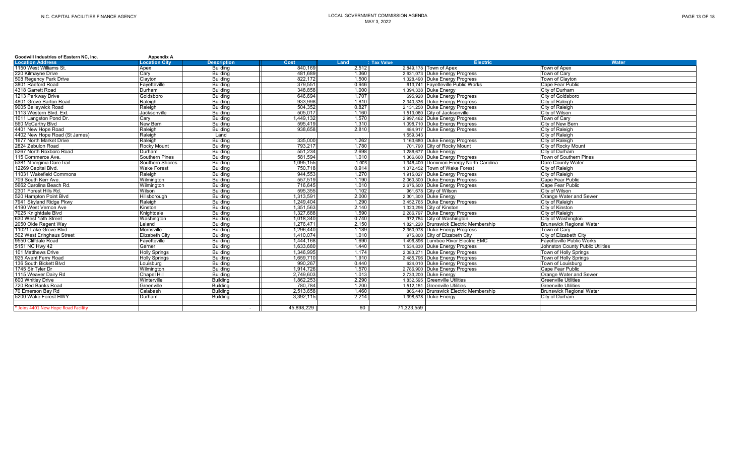| <b>Location Address</b>             | <b>Location City</b>  | <b>Description</b> | Cost       | Land<br>: Tax Value |                                     | <b>Electric</b>                          | Water                            |  |
|-------------------------------------|-----------------------|--------------------|------------|---------------------|-------------------------------------|------------------------------------------|----------------------------------|--|
| 1150 West Williams St.              | Apex                  | <b>Building</b>    | 840.169    | 2.512               | 2.849.178 Town of Apex              |                                          | Town of Apex                     |  |
| 220 Kilmayne Drive                  | Cary                  | Building           | 481.689    | 1.360               | 2,631,073 Duke Energy Progress      |                                          | Town of Cary                     |  |
| 508 Regency Park Drive              | Clayton               | Building           | 822,172    | 1.500               | 1,328,490 Duke Energy Progress      |                                          | Town of Clayton                  |  |
| 3801 Raeford Road                   | Fayetteville          | <b>Building</b>    | 379.551    | 0.946               | 613,741 Fayetteville Public Works   |                                          | Cape Fear Public                 |  |
| 4318 Garrett Road                   | Durham                | <b>Building</b>    | 348.858    | 1.000               | 1,394,338 Duke Energy               |                                          | City of Durham                   |  |
| 1213 Parkway Drive                  | Goldsboro             | <b>Building</b>    | 646.694    | 1.707               | 695.920 Duke Energy Progress        |                                          | City of Goldsboro                |  |
| 4801 Grove Barton Road              | Raleigh               | <b>Building</b>    | 933.998    | 1.810               | 2.340.336 Duke Energy Progress      |                                          | City of Raleigh                  |  |
| 9005 Baileywick Road                | Raleigh               | Building           | 504,352    | 0.827               | 2,131,250 Duke Energy Progress      |                                          | City of Raleigh                  |  |
| 1113 Western Blvd. Ext.             | Jacksonville          | Building           | 505,017    | 1.160               | 1,513,060 City of Jacksonville      |                                          | City of Wilson                   |  |
| 1011 Langston Pond Dr.              | Cary                  | Building           | 1.449.132  | 1.570               | 2,997,462 Duke Energy Progress      |                                          | Town of Cary                     |  |
| 560 McCarthy Blvd                   | New Bern              | <b>Building</b>    | 595.419    | 1.310               | 1,098,710 Duke Energy Progress      |                                          | City of New Bern                 |  |
| 4401 New Hope Road                  | Raleigh               | <b>Building</b>    | 938.658    | 2.810               | 484.917 Duke Energy Progress        |                                          | City of Raleigh                  |  |
| 4402 New Hope Road (St James)       | Raleigh               | Land               |            |                     | 1.559.343                           |                                          | City of Raleigh                  |  |
| 1677 North Market Drive             | Raleigh               | Building           | 335,000    | 1.262               | 1,163,680 Duke Energy Progress      |                                          | City of Raleigh                  |  |
| 2824 Zebulon Road                   | <b>Rocky Mount</b>    | Building           | 793.217    | 1.780               | 701,790 City of Rocky Mount         |                                          | City of Rocky Mount              |  |
| 5267 North Roxboro Road             | Durham                | <b>Building</b>    | 551,234    | 2.698               | 1,286,677 Duke Energy               |                                          | City of Durham                   |  |
| 115 Commerce Ave.                   | <b>Southern Pines</b> | <b>Building</b>    | 581.594    | 1.010               | 1.366.660 Duke Energy Progress      |                                          | Town of Southern Pines           |  |
| 5381 N Virginia DareTrail           | Southern Shores       | Building           | 1,095,155  | 1.003               |                                     | 1,346,400 Dominion Energy North Carolina | Dare County Water                |  |
| 12269 Capital Blvd.                 | <b>Wake Forest</b>    | <b>Building</b>    | 750.718    | 0.914               | 1.372.452 Town of Wake Forest       |                                          | City of Raleigh                  |  |
| 11031 Wakefield Commons             | Raleigh               | Building           | 944.553    | 1.270               | 1,915,027 Duke Energy Progress      |                                          | City of Raleigh                  |  |
| 709 South Kerr Ave.                 | Wilmington            | <b>Building</b>    | 557,519    | 1.190               | 2,060,300 Duke Energy Progress      |                                          | Cape Fear Public                 |  |
| 5662 Carolina Beach Rd.             | Wilmington            | Building           | 716.645    | 1.010               | 2.675.500 Duke Energy Progress      |                                          | Cape Fear Public                 |  |
| 2301 Forest Hills Rd.               | Wilson                | <b>Building</b>    | 595,355    | 1.102               | 961,678 City of Wilson              |                                          | City of Wilson                   |  |
| 520 Hampton Point Blvd              | Hillsborough          | <b>Building</b>    | 1.313.591  | 2.000               | 2,301,300 Duke Energy               |                                          | Orange Water and Sewer           |  |
| 7941 Skyland Ridge Pkwy             | Raleigh               | <b>Building</b>    | 1.249.404  | 1.290               | 3,452,765 Duke Energy Progress      |                                          | City of Raleigh                  |  |
| 4190 West Vernon Ave                | Kinston               | <b>Building</b>    | 1.351.563  | 2.140               | 1,320,296 City of Kinston           |                                          | <b>City of Kinston</b>           |  |
| 7025 Knightdale Blvd                | Knightdale            | Building           | 1,327,688  | 1.590               | 2,286,797 Duke Energy Progress      |                                          | City of Raleigh                  |  |
| 630 West 15th Street                | Washington            | Building           | 1.018.340  | 0.740               | 972,754 City of Washington          |                                          | City of Washington               |  |
| 2050 Olde Regent Way                | Leland                | Building           | 1.276.471  | 2.150               |                                     | 1.821.220 Brunswick Electric Membership  | <b>Brunswick Regional Water</b>  |  |
| 11021 Lake Grove Blvd               | Morrisville           | <b>Building</b>    | 1.296.440  | 1.189               | 2.350.978 Duke Energy Progress      |                                          | Town of Carv                     |  |
| 502 West Eringhaus Street           | <b>Elizabeth City</b> | <b>Building</b>    | 1.410.074  | 1.010               | 975,800 City of Elizabeth City      |                                          | City of Elizabeth City           |  |
| 9550 Cliffdale Road                 | Favetteville          | <b>Building</b>    | 1.444.168  | 1.690               | 1.496.896 Lumbee River Electric EMC |                                          | <b>Favetteville Public Works</b> |  |
| 5151 NC Hwy 42                      | Garner                | Building           | 1.633.680  | 1.440               | 1,534,830 Duke Energy Progress      |                                          | Johnston County Public Utilities |  |
| 101 Matthews Drive                  | <b>Holly Springs</b>  | Building           | 1.346.995  | 1.174               | 2.083.271 Duke Energy Progress      |                                          | Town of Holly Springs            |  |
| 925 Avent Ferry Road                | <b>Holly Springs</b>  | Building           | 1.659.710  | 1.910               | 2.485.796 Duke Energy Progress      |                                          | Town of Holly Springs            |  |
| 136 South Bickett Blvd              | Louisburg             | <b>Building</b>    | 990.267    | 0.440               | 624.010 Duke Energy Progress        |                                          | Town of Louisburg                |  |
| 1745 Sir Tyler Dr                   | Wilminaton            | <b>Building</b>    | 1.914,726  | 1.570               | 2.786.900 Duke Energy Progress      |                                          | Cape Fear Public                 |  |
| 1115 Weaver Dairy Rd                | <b>Chapel Hill</b>    | <b>Building</b>    | 2.749.603  | 1.013               | 2.733.200 Duke Energy               |                                          | Orange Water and Sewer           |  |
| 600 Whitley Drive                   | Winterville           | Building           | 1.862.253  | 2.290               | 1.832.595 Greenville Utilities      |                                          | <b>Greenville Utilities</b>      |  |
| 720 Red Banks Road                  | Greenville            | Building           | 780.784    | 1.200               | 1.512.151 Greenville Utilities      |                                          | <b>Greenville Utilities</b>      |  |
| 70 Emerson Bay Rd                   | Calabash              | <b>Building</b>    | 2.513.658  | 1.460               |                                     | 865.440 Brunswick Electric Membership    | <b>Brunswick Regional Water</b>  |  |
| 5200 Wake Forest HWY                | Durham                | <b>Building</b>    | 3.392.115  | 2.214               | 1,398,578 Duke Energy               |                                          | City of Durham                   |  |
|                                     |                       |                    |            |                     |                                     |                                          |                                  |  |
| * Joins 4401 New Hope Road Facility |                       |                    | 45.898.229 | 60                  | 71.323.559                          |                                          |                                  |  |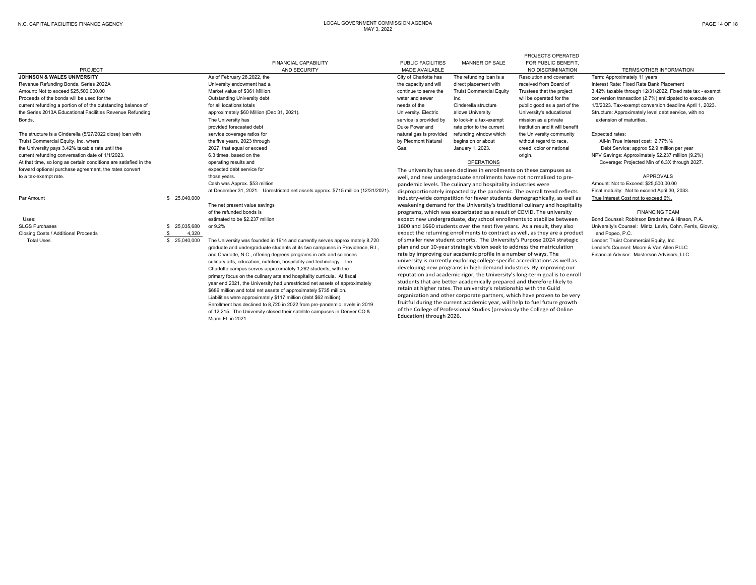PROJECTS OPERATED

|                                                                  |               | <b>FINANCIAL CAPABILITY</b>                                                       | PUBLIC FACILITIES       | MANNER OF SALE                                                           | FOR PUBLIC BENEFIT.                                                          |                                                            |
|------------------------------------------------------------------|---------------|-----------------------------------------------------------------------------------|-------------------------|--------------------------------------------------------------------------|------------------------------------------------------------------------------|------------------------------------------------------------|
| PROJECT                                                          |               | AND SECURITY                                                                      | MADE AVAILABLE          |                                                                          | NO DISCRIMINATION                                                            | <b>TERMS/OTHER INFORMATION</b>                             |
| <b>JOHNSON &amp; WALES UNIVERSITY</b>                            |               | As of February 28,2022, the                                                       | City of Charlotte has   | The refunding loan is a                                                  | Resolution and covenant                                                      | Term: Approximately 11 years                               |
| Revenue Refunding Bonds, Series 2022A                            |               | University endowment had a                                                        | the capacity and will   | direct placement with                                                    | received from Board of                                                       | Interest Rate: Fixed Rate Bank Placement                   |
| Amount: Not to exceed \$25,500,000,00                            |               | Market value of \$361 Million.                                                    | continue to serve the   | <b>Truist Commercial Equity</b>                                          | Trustees that the project                                                    | 3.42% taxable through 12/31/2022, Fixed rate tax - exempt  |
| Proceeds of the bonds will be used for the                       |               | Outstanding University debt                                                       | water and sewer         | Inc.                                                                     | will be operated for the                                                     | conversion transaction (2.7%) anticipated to execute on    |
| current refunding a portion of of the outstanding balance of     |               | for all locations totals                                                          | needs of the            | Cinderella structure                                                     | public good as a part of the                                                 | 1/3/2023. Tax-exempt conversion deadline April 1, 2023.    |
| the Series 2013A Educational Facilities Revenue Refunding        |               | approximately \$60 Million (Dec 31, 2021).                                        | University. Electric    | allows University                                                        | University's educational                                                     | Structure: Approximately level debt service, with no       |
| Bonds.                                                           |               | The University has                                                                | service is provided by  | to lock-in a tax-exempt                                                  | mission as a private                                                         | extension of maturities.                                   |
|                                                                  |               | provided forecasted debt                                                          | Duke Power and          | rate prior to the current                                                | institution and it will benefit                                              |                                                            |
| The structure is a Cinderella (5/27/2022 close) loan with        |               | service coverage ratios for                                                       | natural gas is provided | refunding window which                                                   | the University community                                                     | Expected rates:                                            |
| Truist Commercial Equity, Inc. where                             |               | the five years, 2023 through                                                      | by Piedmont Natural     | begins on or about                                                       | without regard to race,                                                      | All-In True interest cost: 2.77%%                          |
| the University pays 3.42% taxable rate until the                 |               | 2027, that equal or exceed                                                        | Gas.                    | January 1, 2023.                                                         | creed, color or national                                                     | Debt Service: approx \$2.9 million per year                |
| current refunding conversation date of 1/1/2023.                 |               | 6.3 times, based on the                                                           |                         |                                                                          | origin.                                                                      | NPV Savings: Approximately \$2.237 million (9.2%)          |
| At that time, so long as certain conditions are satisfied in the |               | operating results and                                                             |                         | <b>OPERATIONS</b>                                                        |                                                                              | Coverage: Projected Min of 6.3X through 2027.              |
| forward optional purchase agreement, the rates convert           |               | expected debt service for                                                         |                         | The university has seen declines in enrollments on these campuses as     |                                                                              |                                                            |
| to a tax-exempt rate.                                            |               | those years.                                                                      |                         | well, and new undergraduate enrollments have not normalized to pre-      | <b>APPROVALS</b>                                                             |                                                            |
|                                                                  |               | Cash was Approx. \$53 million                                                     |                         | pandemic levels. The culinary and hospitality industries were            |                                                                              | Amount: Not to Exceed: \$25,500,00.00                      |
|                                                                  |               | at December 31, 2021. Unrestricted net assets approx. \$715 million (12/31/2021). |                         |                                                                          | disproportionately impacted by the pandemic. The overall trend reflects      | Final maturity: Not to exceed April 30, 2033.              |
| Par Amount                                                       | \$ 25,040,000 |                                                                                   |                         |                                                                          | industry-wide competition for fewer students demographically, as well as     | True Interest Cost not to exceed 6%.                       |
|                                                                  |               | The net present value savings                                                     |                         |                                                                          | weakening demand for the University's traditional culinary and hospitality   |                                                            |
|                                                                  |               | of the refunded bonds is                                                          |                         | programs, which was exacerbated as a result of COVID. The university     |                                                                              | <b>FINANCING TEAM</b>                                      |
| Uses:                                                            |               | estimated to be \$2,237 million                                                   |                         |                                                                          | expect new undergraduate, day school enrollments to stabilize between        | Bond Counsel: Robinson Bradshaw & Hinson, P.A.             |
| <b>SLGS Purchases</b>                                            | 25,035,680    | or 9.2%                                                                           |                         | 1600 and 1660 students over the next five years. As a result, they also  |                                                                              | University's Counsel: Mintz, Levin, Cohn, Ferris, Glovsky, |
| Closing Costs / Additional Proceeds                              | 4,320<br>-S   |                                                                                   |                         |                                                                          | expect the returning enrollments to contract as well, as they are a product  | and Popeo, P.C.                                            |
| <b>Total Uses</b>                                                | \$ 25,040,000 | The University was founded in 1914 and currently serves approximately 8,720       |                         |                                                                          | of smaller new student cohorts. The University's Purpose 2024 strategic      | Lender: Truist Commercial Equity, Inc.                     |
|                                                                  |               | graduate and undergraduate students at its two campuses in Providence, R.I.,      |                         | plan and our 10-year strategic vision seek to address the matriculation  |                                                                              | Lender's Counsel: Moore & Van Allen PLLC                   |
|                                                                  |               | and Charlotte, N.C., offering degrees programs in arts and sciences               |                         | rate by improving our academic profile in a number of ways. The          |                                                                              | Financial Advisor: Masterson Advisors, LLC                 |
|                                                                  |               | culinary arts, education, nutrition, hospitality and technology. The              |                         |                                                                          | university is currently exploring college specific accreditations as well as |                                                            |
|                                                                  |               | Charlotte campus serves approximately 1,262 students, with the                    |                         | developing new programs in high-demand industries. By improving our      |                                                                              |                                                            |
|                                                                  |               | primary focus on the culinary arts and hospitality curricula. At fiscal           |                         |                                                                          | reputation and academic rigor, the University's long-term goal is to enroll  |                                                            |
|                                                                  |               | year end 2021, the University had unrestricted net assets of approximately        |                         | students that are better academically prepared and therefore likely to   |                                                                              |                                                            |
|                                                                  |               | \$686 million and total net assets of approximately \$735 million.                |                         | retain at higher rates. The university's relationship with the Guild     |                                                                              |                                                            |
|                                                                  |               | Liabilities were approximately \$117 million (debt \$62 million).                 |                         |                                                                          | organization and other corporate partners, which have proven to be very      |                                                            |
|                                                                  |               | Enrollment has declined to 8,720 in 2022 from pre-pandemic levels in 2019         |                         |                                                                          | fruitful during the current academic year, will help to fuel future growth   |                                                            |
|                                                                  |               | of 12,215. The University closed their satellite campuses in Denver CO &          |                         | of the College of Professional Studies (previously the College of Online |                                                                              |                                                            |

Education) through 2026.

Miami FL in 2021.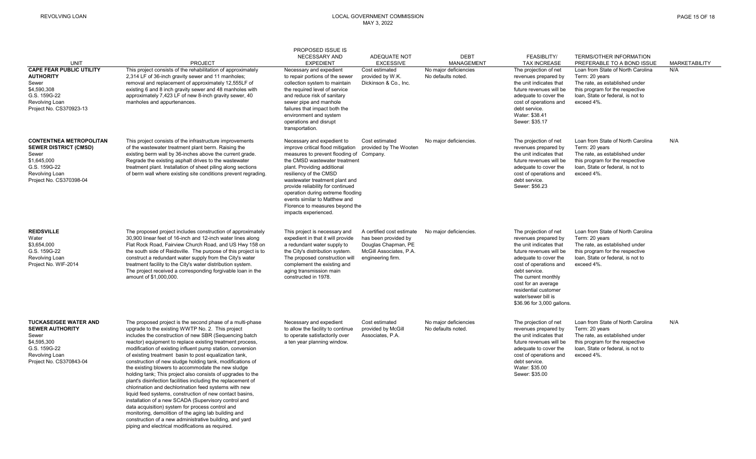monitoring, demolition of the aging lab building and construction of a new administrative building, and yard piping and electrical modifications as required.

### REVOLVING LOAN LOCAL GOVERNMENT COMMISSION MAY 3, 2022

|                                                                                                                                                     |                                                                                                                                                                                                                                                                                                                                                                                                                                                                                                                                                                                                                                                                                                                                                                                                                                                 | PROPOSED ISSUE IS                                                                                                                                                                                                                                                                                                                                                                                             |                                                                                                                          |                                             |                                                                                                                                                                                                                                                                                                    |                                                                                                                                                                             |                      |
|-----------------------------------------------------------------------------------------------------------------------------------------------------|-------------------------------------------------------------------------------------------------------------------------------------------------------------------------------------------------------------------------------------------------------------------------------------------------------------------------------------------------------------------------------------------------------------------------------------------------------------------------------------------------------------------------------------------------------------------------------------------------------------------------------------------------------------------------------------------------------------------------------------------------------------------------------------------------------------------------------------------------|---------------------------------------------------------------------------------------------------------------------------------------------------------------------------------------------------------------------------------------------------------------------------------------------------------------------------------------------------------------------------------------------------------------|--------------------------------------------------------------------------------------------------------------------------|---------------------------------------------|----------------------------------------------------------------------------------------------------------------------------------------------------------------------------------------------------------------------------------------------------------------------------------------------------|-----------------------------------------------------------------------------------------------------------------------------------------------------------------------------|----------------------|
| <b>UNIT</b>                                                                                                                                         | <b>PROJECT</b>                                                                                                                                                                                                                                                                                                                                                                                                                                                                                                                                                                                                                                                                                                                                                                                                                                  | NECESSARY AND<br><b>EXPEDIENT</b>                                                                                                                                                                                                                                                                                                                                                                             | ADEQUATE NOT<br><b>EXCESSIVE</b>                                                                                         | <b>DEBT</b><br>MANAGEMENT                   | FEASIBLITY/<br><b>TAX INCREASE</b>                                                                                                                                                                                                                                                                 | TERMS/OTHER INFORMATION<br>PREFERABLE TO A BOND ISSUE                                                                                                                       | <b>MARKETABILITY</b> |
| <b>CAPE FEAR PUBLIC UTILITY</b><br><b>AUTHORITY</b><br>Sewer<br>\$4,590,308<br>G.S. 159G-22<br>Revolving Loan<br>Project No. CS370923-13            | This project consists of the rehabilitation of approximately<br>2,314 LF of 36-inch gravity sewer and 11 manholes;<br>removal and replacement of approximately 12,555LF of<br>existing 6 and 8 inch gravity sewer and 48 manholes with<br>approximately 7,423 LF of new 8-inch gravity sewer, 40<br>manholes and appurtenances.                                                                                                                                                                                                                                                                                                                                                                                                                                                                                                                 | Necessary and expedient<br>to repair portions of the sewer<br>collection system to maintain<br>the required level of service<br>and reduce risk of sanitary<br>sewer pipe and manhole<br>failures that impact both the<br>environment and system<br>operations and disrupt<br>transportation.                                                                                                                 | Cost estimated<br>provided by W.K.<br>Dickinson & Co., Inc.                                                              | No major deficiencies<br>No defaults noted. | The projection of net<br>revenues prepared by<br>the unit indicates that<br>future revenues will be<br>adequate to cover the<br>cost of operations and<br>debt service.<br>Water: \$38.41<br>Sewer: \$35.17                                                                                        | Loan from State of North Carolina<br>Term: 20 years<br>The rate, as established under<br>this program for the respective<br>loan, State or federal, is not to<br>exceed 4%. | N/A                  |
| <b>CONTENTNEA METROPOLITAN</b><br><b>SEWER DISTRICT (CMSD)</b><br>Sewer<br>\$1,645,000<br>G.S. 159G-22<br>Revolving Loan<br>Project No. CS370398-04 | This project consists of the infrastructure improvements<br>of the wastewater treatment plant berm. Raising the<br>existing berm wall by 36-inches above the current grade.<br>Regrade the existing asphalt drives to the wastewater<br>treatment plant. Installation of sheet piling along sections<br>of berm wall where existing site conditions prevent regrading.                                                                                                                                                                                                                                                                                                                                                                                                                                                                          | Necessary and expedient to<br>improve critical flood mitigation<br>measures to prevent flooding of Company.<br>the CMSD wastewater treatment<br>plant. Providing additional<br>resiliency of the CMSD<br>wastewater treatment plant and<br>provide reliability for continued<br>operation during extreme flooding<br>events similar to Matthew and<br>Florence to measures beyond the<br>impacts experienced. | Cost estimated<br>provided by The Wooten                                                                                 | No major deficiencies.                      | The projection of net<br>revenues prepared by<br>the unit indicates that<br>future revenues will be<br>adequate to cover the<br>cost of operations and<br>debt service.<br>Sewer: \$56.23                                                                                                          | Loan from State of North Carolina<br>Term: 20 years<br>The rate, as established under<br>this program for the respective<br>loan, State or federal, is not to<br>exceed 4%. | N/A                  |
| <b>REIDSVILLE</b><br>Water<br>\$3,654,000<br>G.S. 159G-22<br>Revolving Loan<br>Project No. WIF-2014                                                 | The proposed project includes construction of approximately<br>30,900 linear feet of 16-inch and 12-inch water lines along<br>Flat Rock Road, Fairview Church Road, and US Hwy 158 on<br>the south side of Reidsville. The purpose of this project is to<br>construct a redundant water supply from the City's water<br>treatment facility to the City's water distribution system.<br>The project received a corresponding forgivable loan in the<br>amount of \$1,000,000.                                                                                                                                                                                                                                                                                                                                                                    | This project is necessary and<br>expedient in that it will provide<br>a redundant water supply to<br>the City's distribution system.<br>The proposed construction will<br>complement the existing and<br>aging transmission main<br>constructed in 1978.                                                                                                                                                      | A certified cost estimate<br>has been provided by<br>Douglas Chapman, PE<br>McGill Associates, P.A.<br>engineering firm. | No major deficiencies.                      | The projection of net<br>revenues prepared by<br>the unit indicates that<br>future revenues will be<br>adequate to cover the<br>cost of operations and<br>debt service.<br>The current monthly<br>cost for an average<br>residential customer<br>water/sewer bill is<br>\$36.96 for 3,000 gallons. | Loan from State of North Carolina<br>Term: 20 years<br>The rate, as established under<br>this program for the respective<br>loan, State or federal, is not to<br>exceed 4%. |                      |
| <b>TUCKASEIGEE WATER AND</b><br><b>SEWER AUTHORITY</b><br>Sewer<br>\$4,595,300<br>G.S. 159G-22<br>Revolving Loan<br>Project No. CS370843-04         | The proposed project is the second phase of a multi-phase<br>upgrade to the existing WWTP No. 2. This project<br>includes the construction of new SBR (Sequencing batch<br>reactor) equipment to replace existing treatment process,<br>modification of existing influent pump station, conversion<br>of existing treatment basin to post equalization tank,<br>construction of new sludge holding tank, modifications of<br>the existing blowers to accommodate the new sludge<br>holding tank; This project also consists of upgrades to the<br>plant's disinfection facilities including the replacement of<br>chlorination and dechlorination feed systems with new<br>liquid feed systems, construction of new contact basins,<br>installation of a new SCADA (Supervisory control and<br>data acquisition) system for process control and | Necessary and expedient<br>to allow the facility to continue<br>to operate satisfactorily over<br>a ten year planning window.                                                                                                                                                                                                                                                                                 | Cost estimated<br>provided by McGill<br>Associates, P.A.                                                                 | No major deficiencies<br>No defaults noted  | The projection of net<br>revenues prepared by<br>the unit indicates that<br>future revenues will be<br>adequate to cover the<br>cost of operations and<br>debt service.<br>Water: \$35.00<br>Sewer: \$35.00                                                                                        | Loan from State of North Carolina<br>Term: 20 years<br>The rate, as established under<br>this program for the respective<br>loan, State or federal, is not to<br>exceed 4%. | N/A                  |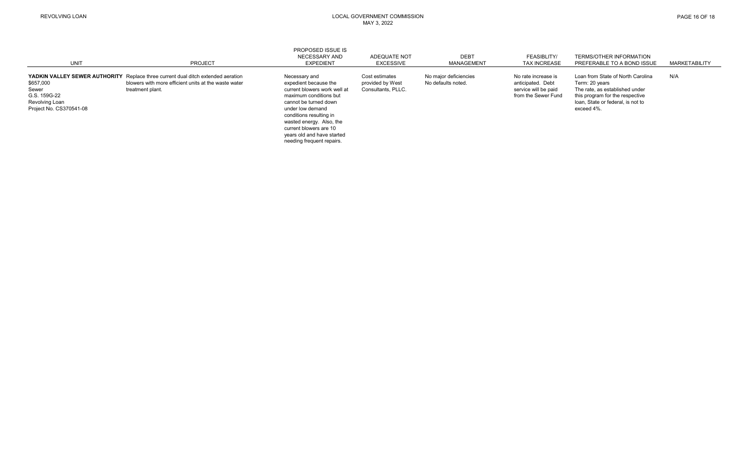| <b>UNIT</b>                                                                     | PROJECT                                                                                                                                                             | PROPOSED ISSUE IS<br>NECESSARY AND<br><b>EXPEDIENT</b>                                                                                                                                                                                                       | ADEQUATE NOT<br>EXCESSIVE                                | <b>DEBT</b><br>MANAGEMENT                   | <b>FEASIBLITY/</b><br><b>TAX INCREASE</b>                                               | <b>TERMS/OTHER INFORMATION</b><br>PREFERABLE TO A BOND ISSUE                                                                                                                | <b>MARKETABILITY</b> |
|---------------------------------------------------------------------------------|---------------------------------------------------------------------------------------------------------------------------------------------------------------------|--------------------------------------------------------------------------------------------------------------------------------------------------------------------------------------------------------------------------------------------------------------|----------------------------------------------------------|---------------------------------------------|-----------------------------------------------------------------------------------------|-----------------------------------------------------------------------------------------------------------------------------------------------------------------------------|----------------------|
| \$657,000<br>Sewer<br>G.S. 159G-22<br>Revolving Loan<br>Project No. CS370541-08 | <b>YADKIN VALLEY SEWER AUTHORITY</b> Replace three current dual ditch extended aeration<br>blowers with more efficient units at the waste water<br>treatment plant. | Necessary and<br>expedient because the<br>current blowers work well at<br>maximum conditions but<br>cannot be turned down<br>under low demand<br>conditions resulting in<br>wasted energy. Also, the<br>current blowers are 10<br>years old and have started | Cost estimates<br>provided by West<br>Consultants, PLLC. | No major deficiencies<br>No defaults noted. | No rate increase is<br>anticipated. Debt<br>service will be paid<br>from the Sewer Fund | Loan from State of North Carolina<br>Term: 20 years<br>The rate, as established under<br>this program for the respective<br>loan. State or federal. is not to<br>exceed 4%. | N/A                  |

needing frequent repairs.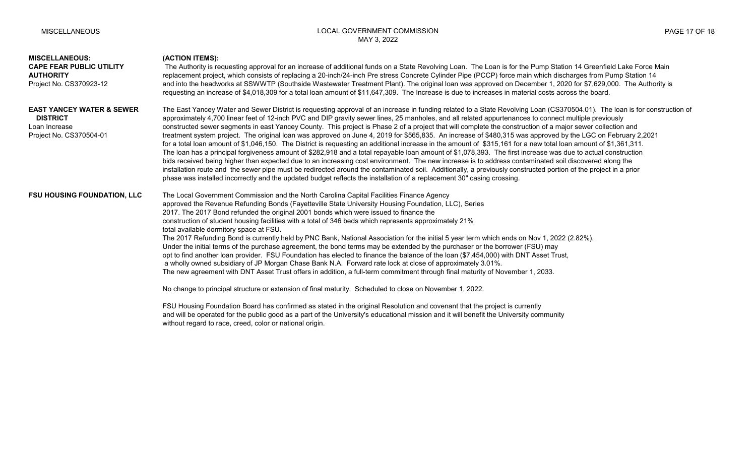# **MISCELLANEOUS: (ACTION ITEMS):** CAPE FEAR PUBLIC UTILITY The Authority is requesting approval for an increase of additional funds on a State Revolving Loan. The Loan is for the Pump Station 14 Greenfield Lake Force Main AUTHORITY **replacement project, which consists of replacing a 20-inch/24-inch Pre stress Concrete Cylinder Pipe (PCCP) force main which discharges from Pump Station 14** Project No. CS370923-12 and into the headworks at SSWWTP (Southside Wastewater Treatment Plant). The original loan was approved on December 1, 2020 for \$7,629,000. The Authority is requesting an increase of \$4,018,309 for a total loan amount of \$11,647,309. The Increase is due to increases in material costs across the board. **EAST YANCEY WATER & SEWER** The East Yancey Water and Sewer District is requesting approval of an increase in funding related to a State Revolving Loan (CS370504.01). The loan is for construction of **DISTRICT** approximately 4,700 linear feet of 12-inch PVC and DIP gravity sewer lines, 25 manholes, and all related appurtenances to connect multiple previously Loan Increase states of a major sequents in east Yancey County. This project is Phase 2 of a project that will complete the construction of a major sewer collection and Project No. CS370504-01 treatment system project. The original loan was approved on June 4, 2019 for \$565,835. An increase of \$480,315 was approved by the LGC on February 2,2021 for a total loan amount of \$1,046,150. The District is requesting an additional increase in the amount of \$315,161 for a new total loan amount of \$1,361,311. The loan has a principal forgiveness amount of \$282,918 and a total repayable loan amount of \$1,078,393. The first increase was due to actual construction bids received being higher than expected due to an increasing cost environment. The new increase is to address contaminated soil discovered along the installation route and the sewer pipe must be redirected around the contaminated soil. Additionally, a previously constructed portion of the project in a prior phase was installed incorrectly and the updated budget reflects the installation of a replacement 30" casing crossing. **FSU HOUSING FOUNDATION, LLC** The Local Government Commission and the North Carolina Capital Facilities Finance Agency approved the Revenue Refunding Bonds (Fayetteville State University Housing Foundation, LLC), Series 2017. The 2017 Bond refunded the original 2001 bonds which were issued to finance the construction of student housing facilities with a total of 346 beds which represents approximately 21% total available dormitory space at FSU. The 2017 Refunding Bond is currently held by PNC Bank, National Association for the initial 5 year term which ends on Nov 1, 2022 (2.82%). Under the initial terms of the purchase agreement, the bond terms may be extended by the purchaser or the borrower (FSU) may opt to find another loan provider. FSU Foundation has elected to finance the balance of the loan (\$7,454,000) with DNT Asset Trust, a wholly owned subsidiary of JP Morgan Chase Bank N.A. Forward rate lock at close of approximately 3.01%. The new agreement with DNT Asset Trust offers in addition, a full-term commitment through final maturity of November 1, 2033. No change to principal structure or extension of final maturity. Scheduled to close on November 1, 2022. FSU Housing Foundation Board has confirmed as stated in the original Resolution and covenant that the project is currently and will be operated for the public good as a part of the University's educational mission and it will benefit the University community without regard to race, creed, color or national origin.